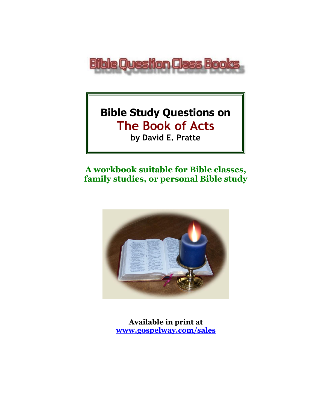

# **Bible Study Questions on The Book of Acts**

**by David E. Pratte**

# **A workbook suitable for Bible classes, family studies, or personal Bible study**



**Available in print at [www.gospelway.com/sales](https://www.gospelway.com/sales)**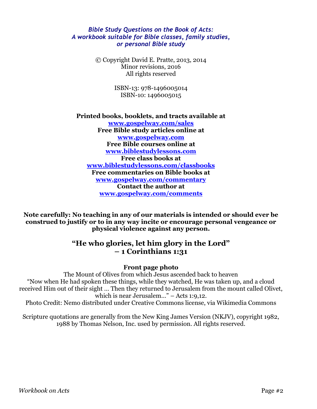#### *Bible Study Questions on the Book of Acts: A workbook suitable for Bible classes, family studies, or personal Bible study*

© Copyright David E. Pratte, 2013, 2014 Minor revisions, 2016 All rights reserved

> ISBN-13: 978-1496005014 ISBN-10: 1496005015

**Printed books, booklets, and tracts available at [www.gospelway.com/sales](https://www.gospelway.com/sales) Free Bible study articles online at [www.gospelway.com](http://www.gospelway.com/) Free Bible courses online at [www.biblestudylessons.com](http://www.biblestudylessons.com/) Free class books at [www.biblestudylessons.com/classbooks](http://www.biblestudylessons.com/classbooks) Free commentaries on Bible books at [www.gospelway.com/commentary](http://www.gospelway.com/commentary) Contact the author at [www.gospelway.com/comments](http://www.gospelway.com/comments)**

**Note carefully: No teaching in any of our materials is intended or should ever be construed to justify or to in any way incite or encourage personal vengeance or physical violence against any person.**

### **"He who glories, let him glory in the Lord" – 1 Corinthians 1:31**

#### **Front page photo**

The Mount of Olives from which Jesus ascended back to heaven "Now when He had spoken these things, while they watched, He was taken up, and a cloud received Him out of their sight … Then they returned to Jerusalem from the mount called Olivet, which is near Jerusalem…" – Acts 1:9,12.

Photo Credit: Nemo distributed under Creative Commons license, via Wikimedia Commons

Scripture quotations are generally from the New King James Version (NKJV), copyright 1982, 1988 by Thomas Nelson, Inc. used by permission. All rights reserved.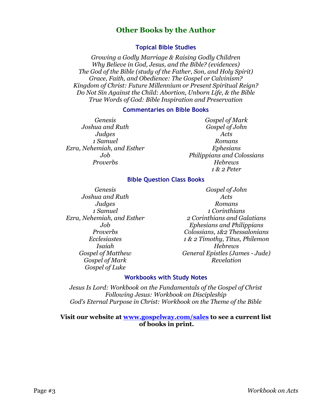### **Other Books by the Author**

#### **Topical Bible Studies**

*Growing a Godly Marriage & Raising Godly Children Why Believe in God, Jesus, and the Bible? (evidences) The God of the Bible (study of the Father, Son, and Holy Spirit) Grace, Faith, and Obedience: The Gospel or Calvinism? Kingdom of Christ: Future Millennium or Present Spiritual Reign? Do Not Sin Against the Child: Abortion, Unborn Life, & the Bible True Words of God: Bible Inspiration and Preservation*

#### **Commentaries on Bible Books**

*Genesis Joshua and Ruth Judges 1 Samuel Ezra, Nehemiah, and Esther Job Proverbs*

*Gospel of Mark Gospel of John Acts Romans Ephesians Philippians and Colossians Hebrews 1 & 2 Peter*

#### **Bible Question Class Books**

*Genesis Joshua and Ruth Judges 1 Samuel Ezra, Nehemiah, and Esther Job Proverbs Ecclesiastes Isaiah Gospel of Matthew Gospel of Mark Gospel of Luke*

*Gospel of John Acts Romans 1 Corinthians 2 Corinthians and Galatians Ephesians and Philippians Colossians, 1&2 Thessalonians 1 & 2 Timothy, Titus, Philemon Hebrews General Epistles (James - Jude) Revelation*

#### **Workbooks with Study Notes**

*Jesus Is Lord: Workbook on the Fundamentals of the Gospel of Christ Following Jesus: Workbook on Discipleship God's Eternal Purpose in Christ: Workbook on the Theme of the Bible*

#### **Visit our website at [www.gospelway.com/sales](https://www.gospelway.com/sales) to see a current list of books in print.**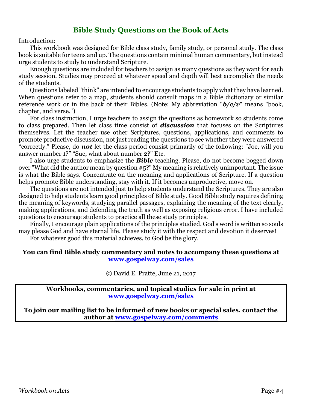### **Bible Study Questions on the Book of Acts**

Introduction:

This workbook was designed for Bible class study, family study, or personal study. The class book is suitable for teens and up. The questions contain minimal human commentary, but instead urge students to study to understand Scripture.

Enough questions are included for teachers to assign as many questions as they want for each study session. Studies may proceed at whatever speed and depth will best accomplish the needs of the students.

Questions labeled "think" are intended to encourage students to apply what they have learned. When questions refer to a map, students should consult maps in a Bible dictionary or similar reference work or in the back of their Bibles. (Note: My abbreviation "*b/c/v*" means "book, chapter, and verse.")

For class instruction, I urge teachers to assign the questions as homework so students come to class prepared. Then let class time consist of *discussion* that focuses on the Scriptures themselves. Let the teacher use other Scriptures, questions, applications, and comments to promote productive discussion, not just reading the questions to see whether they were answered "correctly." Please, do *not* let the class period consist primarily of the following: "Joe, will you answer number 1?" "Sue, what about number 2?" Etc.

I also urge students to emphasize the *Bible* teaching. Please, do not become bogged down over "What did the author mean by question #5?" My meaning is relatively unimportant. The issue is what the Bible says. Concentrate on the meaning and applications of Scripture. If a question helps promote Bible understanding, stay with it. If it becomes unproductive, move on.

The questions are not intended just to help students understand the Scriptures. They are also designed to help students learn good principles of Bible study. Good Bible study requires defining the meaning of keywords, studying parallel passages, explaining the meaning of the text clearly, making applications, and defending the truth as well as exposing religious error. I have included questions to encourage students to practice all these study principles.

Finally, I encourage plain applications of the principles studied. God's word is written so souls may please God and have eternal life. Please study it with the respect and devotion it deserves!

For whatever good this material achieves, to God be the glory.

#### **You can find Bible study commentary and notes to accompany these questions at [www.gospelway.com/sales](https://www.gospelway.com/sales)**

© David E. Pratte, June 21, 2017

**Workbooks, commentaries, and topical studies for sale in print at [www.gospelway.com/sales](https://www.gospelway.com/sales)**

**To join our mailing list to be informed of new books or special sales, contact the author at [www.gospelway.com/comments](http://www.gospelway.com/comments)**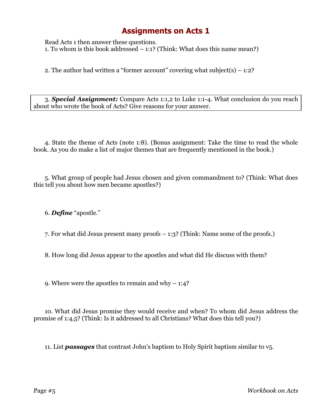Read Acts 1 then answer these questions. 1. To whom is this book addressed – 1:1? (Think: What does this name mean?)

2. The author had written a "former account" covering what subject(s)  $-1:2$ ?

3. *Special Assignment:* Compare Acts 1:1,2 to Luke 1:1-4. What conclusion do you reach about who wrote the book of Acts? Give reasons for your answer.

4. State the theme of Acts (note 1:8). (Bonus assignment: Take the time to read the whole book. As you do make a list of major themes that are frequently mentioned in the book.)

5. What group of people had Jesus chosen and given commandment to? (Think: What does this tell you about how men became apostles?)

6. *Define* "apostle."

7. For what did Jesus present many proofs – 1:3? (Think: Name some of the proofs.)

8. How long did Jesus appear to the apostles and what did He discuss with them?

9. Where were the apostles to remain and why  $-1:4$ ?

10. What did Jesus promise they would receive and when? To whom did Jesus address the promise of 1:4,5? (Think: Is it addressed to all Christians? What does this tell you?)

11. List *passages* that contrast John's baptism to Holy Spirit baptism similar to v5.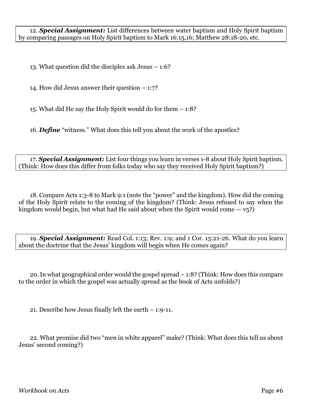12. *Special Assignment:* List differences between water baptism and Holy Spirit baptism by comparing passages on Holy Spirit baptism to Mark 16:15,16; Matthew 28:18-20, etc.

13. What question did the disciples ask Jesus – 1:6?

14. How did Jesus answer their question – 1:7?

15. What did He say the Holy Spirit would do for them – 1:8?

16. *Define* "witness." What does this tell you about the work of the apostles?

17. *Special Assignment:* List four things you learn in verses 1-8 about Holy Spirit baptism. (Think: How does this differ from folks today who say they received Holy Spirit baptism?)

18. Compare Acts 1:3-8 to Mark 9:1 (note the "power" and the kingdom). How did the coming of the Holy Spirit relate to the coming of the kingdom? (Think: Jesus refused to say when the kingdom would begin, but what had He said about when the Spirit would come  $-v_{5}$ ?

19. *Special Assignment:* Read Col. 1:13; Rev. 1:9; and 1 Cor. 15:21-26. What do you learn about the doctrine that the Jesus' kingdom will begin when He comes again?

20.In what geographical order would the gospel spread – 1:8? (Think: How does this compare to the order in which the gospel was actually spread as the book of Acts unfolds?)

21. Describe how Jesus finally left the earth – 1:9-11.

22. What promise did two "men in white apparel" make? (Think: What does this tell us about Jesus' second coming?)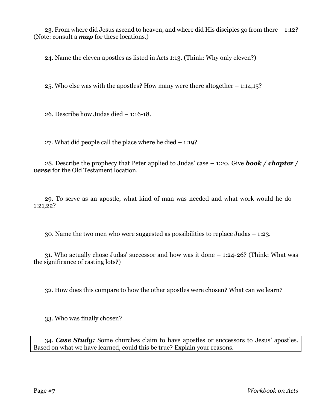23. From where did Jesus ascend to heaven, and where did His disciples go from there – 1:12? (Note: consult a *map* for these locations.)

24. Name the eleven apostles as listed in Acts 1:13. (Think: Why only eleven?)

25. Who else was with the apostles? How many were there altogether – 1:14,15?

26. Describe how Judas died – 1:16-18.

27. What did people call the place where he died – 1:19?

28. Describe the prophecy that Peter applied to Judas' case – 1:20. Give *book / chapter / verse* for the Old Testament location.

29. To serve as an apostle, what kind of man was needed and what work would he do – 1:21,22?

30. Name the two men who were suggested as possibilities to replace Judas – 1:23.

31. Who actually chose Judas' successor and how was it done – 1:24-26? (Think: What was the significance of casting lots?)

32. How does this compare to how the other apostles were chosen? What can we learn?

33. Who was finally chosen?

34. *Case Study:* Some churches claim to have apostles or successors to Jesus' apostles. Based on what we have learned, could this be true? Explain your reasons.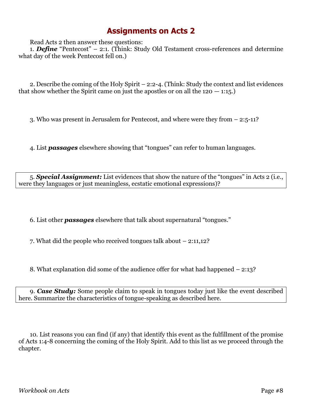Read Acts 2 then answer these questions:

1. *Define* "Pentecost" – 2:1. (Think: Study Old Testament cross-references and determine what day of the week Pentecost fell on.)

2. Describe the coming of the Holy Spirit – 2:2-4. (Think: Study the context and list evidences that show whether the Spirit came on just the apostles or on all the  $120 - 1:15$ .

3. Who was present in Jerusalem for Pentecost, and where were they from – 2:5-11?

4. List *passages* elsewhere showing that "tongues" can refer to human languages.

5. *Special Assignment:* List evidences that show the nature of the "tongues" in Acts 2 (i.e., were they languages or just meaningless, ecstatic emotional expressions)?

6. List other *passages* elsewhere that talk about supernatural "tongues."

7. What did the people who received tongues talk about – 2:11,12?

8. What explanation did some of the audience offer for what had happened – 2:13?

9. *Case Study:* Some people claim to speak in tongues today just like the event described here. Summarize the characteristics of tongue-speaking as described here.

10. List reasons you can find (if any) that identify this event as the fulfillment of the promise of Acts 1:4-8 concerning the coming of the Holy Spirit. Add to this list as we proceed through the chapter.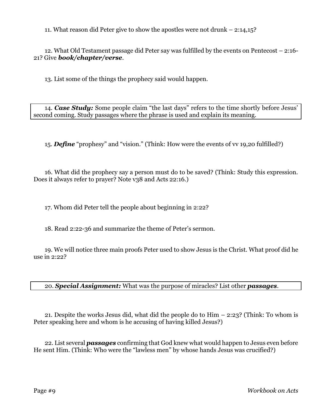11. What reason did Peter give to show the apostles were not drunk – 2:14,15?

12. What Old Testament passage did Peter say was fulfilled by the events on Pentecost – 2:16- 21? Give *book/chapter/verse*.

13. List some of the things the prophecy said would happen.

14. *Case Study:* Some people claim "the last days" refers to the time shortly before Jesus' second coming. Study passages where the phrase is used and explain its meaning.

15. *Define* "prophesy" and "vision." (Think: How were the events of vv 19,20 fulfilled?)

16. What did the prophecy say a person must do to be saved? (Think: Study this expression. Does it always refer to prayer? Note v38 and Acts 22:16.)

17. Whom did Peter tell the people about beginning in 2:22?

18. Read 2:22-36 and summarize the theme of Peter's sermon.

19. We will notice three main proofs Peter used to show Jesus is the Christ. What proof did he use in 2:22?

20. *Special Assignment:* What was the purpose of miracles? List other *passages*.

21. Despite the works Jesus did, what did the people do to Him – 2:23? (Think: To whom is Peter speaking here and whom is he accusing of having killed Jesus?)

22. List several *passages* confirming that God knew what would happen to Jesus even before He sent Him. (Think: Who were the "lawless men" by whose hands Jesus was crucified?)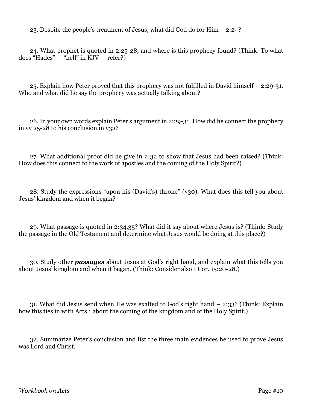23. Despite the people's treatment of Jesus, what did God do for Him – 2:24?

24. What prophet is quoted in 2:25-28, and where is this prophecy found? (Think: To what does "Hades" — "hell" in KJV — refer?)

25. Explain how Peter proved that this prophecy was not fulfilled in David himself – 2:29-31. Who and what did he say the prophecy was actually talking about?

26. In your own words explain Peter's argument in 2:29-31. How did he connect the prophecy in  $\overline{v}$  25-28 to his conclusion in v32?

27. What additional proof did he give in 2:32 to show that Jesus had been raised? (Think: How does this connect to the work of apostles and the coming of the Holy Spirit?)

28. Study the expressions "upon his (David's) throne" (v30). What does this tell you about Jesus' kingdom and when it began?

29. What passage is quoted in 2:34,35? What did it say about where Jesus is? (Think: Study the passage in the Old Testament and determine what Jesus would be doing at this place?)

30. Study other *passages* about Jesus at God's right hand, and explain what this tells you about Jesus' kingdom and when it began. (Think: Consider also 1 Cor. 15:20-28.)

31. What did Jesus send when He was exalted to God's right hand – 2:33? (Think: Explain how this ties in with Acts 1 about the coming of the kingdom and of the Holy Spirit.)

32. Summarize Peter's conclusion and list the three main evidences he used to prove Jesus was Lord and Christ.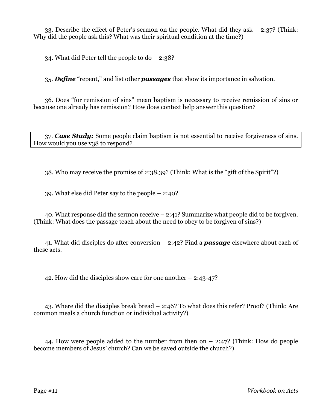33. Describe the effect of Peter's sermon on the people. What did they ask – 2:37? (Think: Why did the people ask this? What was their spiritual condition at the time?)

34. What did Peter tell the people to do – 2:38?

35. *Define* "repent," and list other *passages* that show its importance in salvation.

36. Does "for remission of sins" mean baptism is necessary to receive remission of sins or because one already has remission? How does context help answer this question?

37. *Case Study:* Some people claim baptism is not essential to receive forgiveness of sins. How would you use v38 to respond?

38. Who may receive the promise of 2:38,39? (Think: What is the "gift of the Spirit"?)

39. What else did Peter say to the people – 2:40?

40. What response did the sermon receive – 2:41? Summarize what people did to be forgiven. (Think: What does the passage teach about the need to obey to be forgiven of sins?)

41. What did disciples do after conversion – 2:42? Find a *passage* elsewhere about each of these acts.

42. How did the disciples show care for one another – 2:43-47?

43. Where did the disciples break bread – 2:46? To what does this refer? Proof? (Think: Are common meals a church function or individual activity?)

44. How were people added to the number from then on – 2:47? (Think: How do people become members of Jesus' church? Can we be saved outside the church?)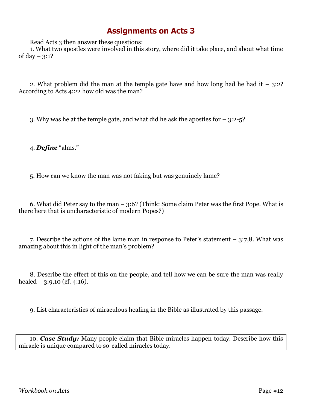Read Acts 3 then answer these questions:

1. What two apostles were involved in this story, where did it take place, and about what time of day  $-3:1?$ 

2. What problem did the man at the temple gate have and how long had he had it  $-3:2$ ? According to Acts 4:22 how old was the man?

3. Why was he at the temple gate, and what did he ask the apostles for – 3:2-5?

4. *Define* "alms."

5. How can we know the man was not faking but was genuinely lame?

6. What did Peter say to the man – 3:6? (Think: Some claim Peter was the first Pope. What is there here that is uncharacteristic of modern Popes?)

7. Describe the actions of the lame man in response to Peter's statement – 3:7,8. What was amazing about this in light of the man's problem?

8. Describe the effect of this on the people, and tell how we can be sure the man was really healed  $-$  3:9,10 (cf. 4:16).

9. List characteristics of miraculous healing in the Bible as illustrated by this passage.

10. *Case Study:* Many people claim that Bible miracles happen today. Describe how this miracle is unique compared to so-called miracles today.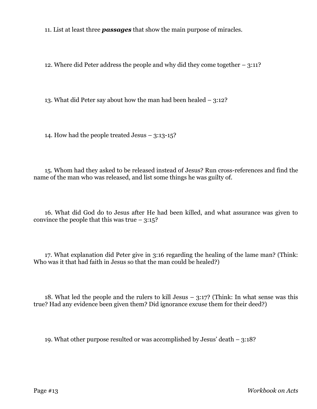11. List at least three *passages* that show the main purpose of miracles.

12. Where did Peter address the people and why did they come together – 3:11?

13. What did Peter say about how the man had been healed – 3:12?

14. How had the people treated Jesus – 3:13-15?

15. Whom had they asked to be released instead of Jesus? Run cross-references and find the name of the man who was released, and list some things he was guilty of.

16. What did God do to Jesus after He had been killed, and what assurance was given to convince the people that this was true  $-3:15$ ?

17. What explanation did Peter give in 3:16 regarding the healing of the lame man? (Think: Who was it that had faith in Jesus so that the man could be healed?)

18. What led the people and the rulers to kill Jesus  $-$  3:17? (Think: In what sense was this true? Had any evidence been given them? Did ignorance excuse them for their deed?)

19. What other purpose resulted or was accomplished by Jesus' death – 3:18?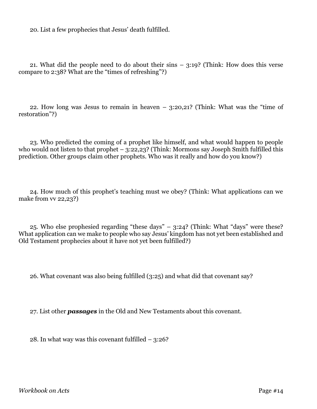20. List a few prophecies that Jesus' death fulfilled.

21. What did the people need to do about their sins – 3:19? (Think: How does this verse compare to 2:38? What are the "times of refreshing"?)

22. How long was Jesus to remain in heaven – 3:20,21? (Think: What was the "time of restoration"?)

23. Who predicted the coming of a prophet like himself, and what would happen to people who would not listen to that prophet – 3:22,23? (Think: Mormons say Joseph Smith fulfilled this prediction. Other groups claim other prophets. Who was it really and how do you know?)

24. How much of this prophet's teaching must we obey? (Think: What applications can we make from vv 22,23?)

25. Who else prophesied regarding "these days" – 3:24? (Think: What "days" were these? What application can we make to people who say Jesus' kingdom has not yet been established and Old Testament prophecies about it have not yet been fulfilled?)

26. What covenant was also being fulfilled (3:25) and what did that covenant say?

27. List other *passages* in the Old and New Testaments about this covenant.

28. In what way was this covenant fulfilled  $-$  3:26?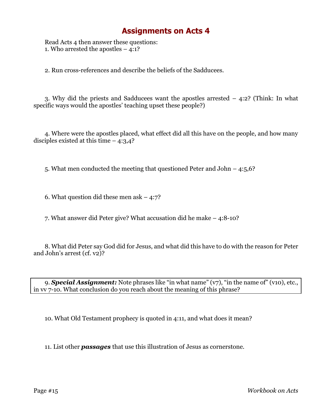Read Acts 4 then answer these questions: 1. Who arrested the apostles  $-4:1$ ?

2. Run cross-references and describe the beliefs of the Sadducees.

3. Why did the priests and Sadducees want the apostles arrested – 4:2? (Think: In what specific ways would the apostles' teaching upset these people?)

4. Where were the apostles placed, what effect did all this have on the people, and how many disciples existed at this time  $-4:3,4$ ?

5. What men conducted the meeting that questioned Peter and John – 4:5,6?

6. What question did these men ask  $-4:7$ ?

7. What answer did Peter give? What accusation did he make – 4:8-10?

8. What did Peter say God did for Jesus, and what did this have to do with the reason for Peter and John's arrest (cf. v2)?

9. *Special Assignment:* Note phrases like "in what name" (v7), "in the name of" (v10), etc., in vv 7-10. What conclusion do you reach about the meaning of this phrase?

10. What Old Testament prophecy is quoted in 4:11, and what does it mean?

11. List other *passages* that use this illustration of Jesus as cornerstone.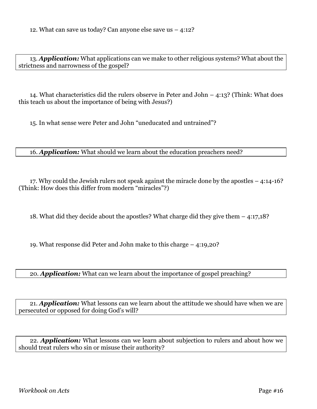13. *Application:* What applications can we make to other religious systems? What about the strictness and narrowness of the gospel?

14. What characteristics did the rulers observe in Peter and John – 4:13? (Think: What does this teach us about the importance of being with Jesus?)

15. In what sense were Peter and John "uneducated and untrained"?

16. *Application:* What should we learn about the education preachers need?

17. Why could the Jewish rulers not speak against the miracle done by the apostles – 4:14-16? (Think: How does this differ from modern "miracles"?)

18. What did they decide about the apostles? What charge did they give them – 4:17,18?

19. What response did Peter and John make to this charge – 4:19,20?

20. *Application:* What can we learn about the importance of gospel preaching?

21. *Application:* What lessons can we learn about the attitude we should have when we are persecuted or opposed for doing God's will?

22. *Application:* What lessons can we learn about subjection to rulers and about how we should treat rulers who sin or misuse their authority?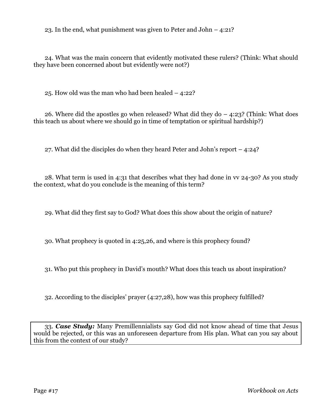23. In the end, what punishment was given to Peter and John – 4:21?

24. What was the main concern that evidently motivated these rulers? (Think: What should they have been concerned about but evidently were not?)

25. How old was the man who had been healed – 4:22?

26. Where did the apostles go when released? What did they  $d_0 - 4:23$ ? (Think: What does this teach us about where we should go in time of temptation or spiritual hardship?)

27. What did the disciples do when they heard Peter and John's report – 4:24?

28. What term is used in 4:31 that describes what they had done in vv 24-30? As you study the context, what do you conclude is the meaning of this term?

29. What did they first say to God? What does this show about the origin of nature?

30. What prophecy is quoted in 4:25,26, and where is this prophecy found?

31. Who put this prophecy in David's mouth? What does this teach us about inspiration?

32. According to the disciples' prayer (4:27,28), how was this prophecy fulfilled?

33. *Case Study:* Many Premillennialists say God did not know ahead of time that Jesus would be rejected, or this was an unforeseen departure from His plan. What can you say about this from the context of our study?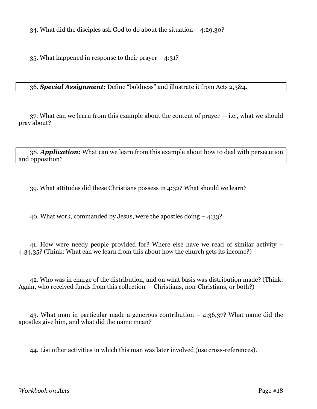34. What did the disciples ask God to do about the situation – 4:29,30?

35. What happened in response to their prayer – 4:31?

#### 36. *Special Assignment:* Define "boldness" and illustrate it from Acts 2,3&4.

37. What can we learn from this example about the content of prayer — i.e., what we should pray about?

38. *Application:* What can we learn from this example about how to deal with persecution and opposition?

39. What attitudes did these Christians possess in 4:32? What should we learn?

40. What work, commanded by Jesus, were the apostles doing – 4:33?

41. How were needy people provided for? Where else have we read of similar activity – 4:34,35? (Think: What can we learn from this about how the church gets its income?)

42. Who was in charge of the distribution, and on what basis was distribution made? (Think: Again, who received funds from this collection — Christians, non-Christians, or both?)

43. What man in particular made a generous contribution – 4:36,37? What name did the apostles give him, and what did the name mean?

44. List other activities in which this man was later involved (use cross-references).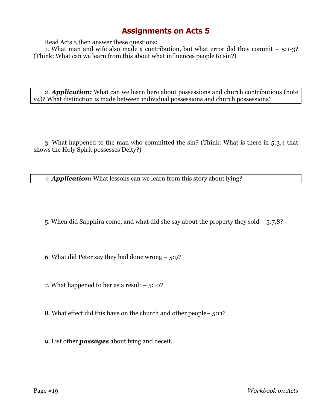Read Acts 5 then answer these questions:

1. What man and wife also made a contribution, but what error did they commit  $-5:1-3$ ? (Think: What can we learn from this about what influences people to sin?)

2. *Application:* What can we learn here about possessions and church contributions (note v4)? What distinction is made between individual possessions and church possessions?

3. What happened to the man who committed the sin? (Think: What is there in 5:3,4 that shows the Holy Spirit possesses Deity?)

4. *Application:* What lessons can we learn from this story about lying?

5. When did Sapphira come, and what did she say about the property they sold – 5:7,8?

6. What did Peter say they had done wrong  $-5:9$ ?

7. What happened to her as a result – 5:10?

8. What effect did this have on the church and other people– 5:11?

9. List other *passages* about lying and deceit.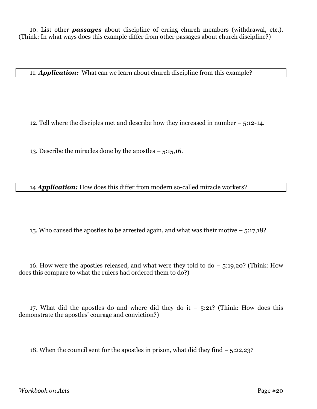10. List other *passages* about discipline of erring church members (withdrawal, etc.). (Think: In what ways does this example differ from other passages about church discipline?)

11. *Application:* What can we learn about church discipline from this example?

12. Tell where the disciples met and describe how they increased in number – 5:12-14.

13. Describe the miracles done by the apostles – 5:15,16.

14 *Application:* How does this differ from modern so-called miracle workers?

15. Who caused the apostles to be arrested again, and what was their motive – 5:17,18?

16. How were the apostles released, and what were they told to do  $-$  5:19,20? (Think: How does this compare to what the rulers had ordered them to do?)

17. What did the apostles do and where did they do it  $-$  5:21? (Think: How does this demonstrate the apostles' courage and conviction?)

18. When the council sent for the apostles in prison, what did they find – 5:22,23?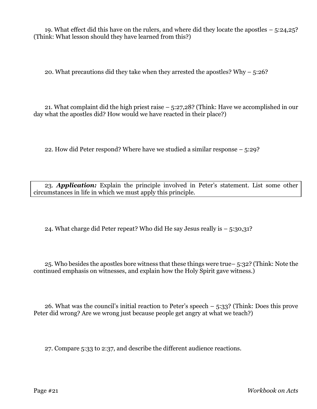19. What effect did this have on the rulers, and where did they locate the apostles – 5:24,25? (Think: What lesson should they have learned from this?)

20. What precautions did they take when they arrested the apostles? Why – 5:26?

21. What complaint did the high priest raise – 5:27,28? (Think: Have we accomplished in our day what the apostles did? How would we have reacted in their place?)

22. How did Peter respond? Where have we studied a similar response – 5:29?

23. *Application:* Explain the principle involved in Peter's statement. List some other circumstances in life in which we must apply this principle.

24. What charge did Peter repeat? Who did He say Jesus really is  $-5:30,31$ ?

25. Who besides the apostles bore witness that these things were true– 5:32? (Think: Note the continued emphasis on witnesses, and explain how the Holy Spirit gave witness.)

26. What was the council's initial reaction to Peter's speech – 5:33? (Think: Does this prove Peter did wrong? Are we wrong just because people get angry at what we teach?)

27. Compare 5:33 to 2:37, and describe the different audience reactions.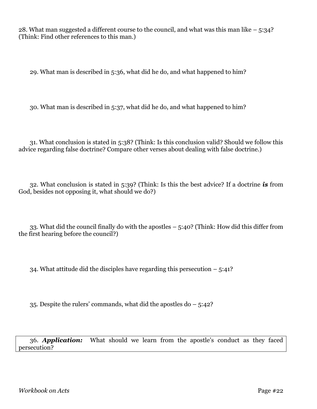28. What man suggested a different course to the council, and what was this man like – 5:34? (Think: Find other references to this man.)

29. What man is described in 5:36, what did he do, and what happened to him?

30. What man is described in 5:37, what did he do, and what happened to him?

31. What conclusion is stated in 5:38? (Think: Is this conclusion valid? Should we follow this advice regarding false doctrine? Compare other verses about dealing with false doctrine.)

32. What conclusion is stated in 5:39? (Think: Is this the best advice? If a doctrine *is* from God, besides not opposing it, what should we do?)

33. What did the council finally do with the apostles – 5:40? (Think: How did this differ from the first hearing before the council?)

34. What attitude did the disciples have regarding this persecution  $-5:41$ ?

35. Despite the rulers' commands, what did the apostles do – 5:42?

36. *Application:* What should we learn from the apostle's conduct as they faced persecution?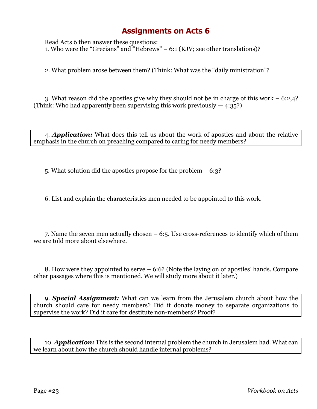Read Acts 6 then answer these questions: 1. Who were the "Grecians" and "Hebrews" – 6:1 (KJV; see other translations)?

2. What problem arose between them? (Think: What was the "daily ministration"?

3. What reason did the apostles give why they should not be in charge of this work – 6:2,4? (Think: Who had apparently been supervising this work previously  $-4:35$ ?)

4. *Application:* What does this tell us about the work of apostles and about the relative emphasis in the church on preaching compared to caring for needy members?

5. What solution did the apostles propose for the problem – 6:3?

6. List and explain the characteristics men needed to be appointed to this work.

7. Name the seven men actually chosen – 6:5. Use cross-references to identify which of them we are told more about elsewhere.

8. How were they appointed to serve – 6:6? (Note the laying on of apostles' hands. Compare other passages where this is mentioned. We will study more about it later.)

9. *Special Assignment:* What can we learn from the Jerusalem church about how the church should care for needy members? Did it donate money to separate organizations to supervise the work? Did it care for destitute non-members? Proof?

10. *Application:* This is the second internal problem the church in Jerusalem had. What can we learn about how the church should handle internal problems?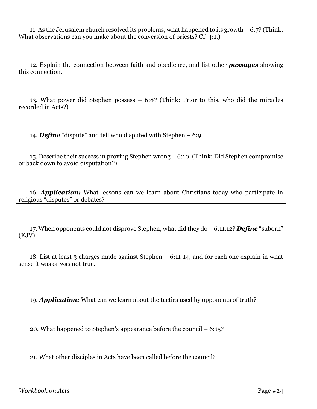11. As the Jerusalem church resolved its problems, what happened to its growth – 6:7? (Think: What observations can you make about the conversion of priests? Cf. 4:1.)

12. Explain the connection between faith and obedience, and list other *passages* showing this connection.

13. What power did Stephen possess – 6:8? (Think: Prior to this, who did the miracles recorded in Acts?)

14. *Define* "dispute" and tell who disputed with Stephen – 6:9.

15. Describe their success in proving Stephen wrong – 6:10. (Think: Did Stephen compromise or back down to avoid disputation?)

16. *Application:* What lessons can we learn about Christians today who participate in religious "disputes" or debates?

17. When opponents could not disprove Stephen, what did they do – 6:11,12? *Define* "suborn" (KJV).

18. List at least 3 charges made against Stephen – 6:11-14, and for each one explain in what sense it was or was not true.

19. *Application:* What can we learn about the tactics used by opponents of truth?

20. What happened to Stephen's appearance before the council – 6:15?

21. What other disciples in Acts have been called before the council?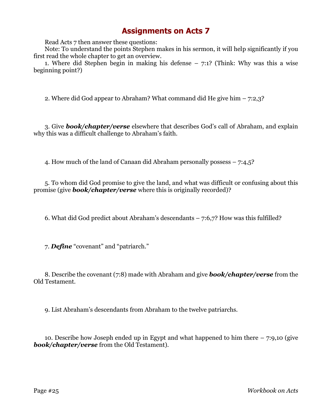Read Acts 7 then answer these questions:

Note: To understand the points Stephen makes in his sermon, it will help significantly if you first read the whole chapter to get an overview.

1. Where did Stephen begin in making his defense – 7:1? (Think: Why was this a wise beginning point?)

2. Where did God appear to Abraham? What command did He give him – 7:2,3?

3. Give *book/chapter/verse* elsewhere that describes God's call of Abraham, and explain why this was a difficult challenge to Abraham's faith.

4. How much of the land of Canaan did Abraham personally possess – 7:4,5?

5. To whom did God promise to give the land, and what was difficult or confusing about this promise (give *book/chapter/verse* where this is originally recorded)?

6. What did God predict about Abraham's descendants – 7:6,7? How was this fulfilled?

7. *Define* "covenant" and "patriarch."

8. Describe the covenant (7:8) made with Abraham and give *book/chapter/verse* from the Old Testament.

9. List Abraham's descendants from Abraham to the twelve patriarchs.

10. Describe how Joseph ended up in Egypt and what happened to him there – 7:9,10 (give *book/chapter/verse* from the Old Testament).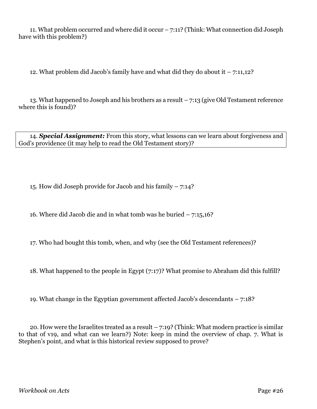11. What problem occurred and where did it occur – 7:11? (Think: What connection did Joseph have with this problem?)

12. What problem did Jacob's family have and what did they do about it  $-7:11,12$ ?

13. What happened to Joseph and his brothers as a result – 7:13 (give Old Testament reference where this is found)?

14. *Special Assignment:* From this story, what lessons can we learn about forgiveness and God's providence (it may help to read the Old Testament story)?

15. How did Joseph provide for Jacob and his family – 7:14?

16. Where did Jacob die and in what tomb was he buried – 7:15,16?

17. Who had bought this tomb, when, and why (see the Old Testament references)?

18. What happened to the people in Egypt (7:17)? What promise to Abraham did this fulfill?

19. What change in the Egyptian government affected Jacob's descendants – 7:18?

20. How were the Israelites treated as a result  $-7:19$ ? (Think: What modern practice is similar to that of v19, and what can we learn?) Note: keep in mind the overview of chap. 7. What is Stephen's point, and what is this historical review supposed to prove?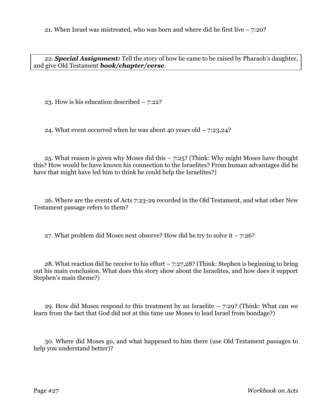21. When Israel was mistreated, who was born and where did he first live  $-7:20$ ?

22. *Special Assignment:* Tell the story of how he came to be raised by Pharaoh's daughter, and give Old Testament *book/chapter/verse*.

23. How is his education described – 7:22?

24. What event occurred when he was about 40 years old  $-7:23,24$ ?

25. What reason is given why Moses did this – 7:25? (Think: Why might Moses have thought this? How would he have known his connection to the Israelites? From human advantages did he have that might have led him to think he could help the Israelites?)

26. Where are the events of Acts 7:23-29 recorded in the Old Testament, and what other New Testament passage refers to them?

27. What problem did Moses next observe? How did he try to solve it  $-7:26$ ?

28. What reaction did he receive to his effort – 7:27,28? (Think: Stephen is beginning to bring out his main conclusion. What does this story show about the Israelites, and how does it support Stephen's main theme?)

29. How did Moses respond to this treatment by an Israelite – 7:29? (Think: What can we learn from the fact that God did not at this time use Moses to lead Israel from bondage?)

30. Where did Moses go, and what happened to him there (use Old Testament passages to help you understand better)?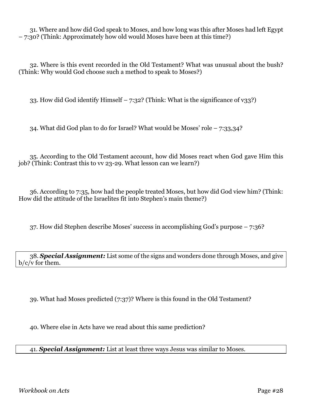31. Where and how did God speak to Moses, and how long was this after Moses had left Egypt – 7:30? (Think: Approximately how old would Moses have been at this time?)

32. Where is this event recorded in the Old Testament? What was unusual about the bush? (Think: Why would God choose such a method to speak to Moses?)

33. How did God identify Himself – 7:32? (Think: What is the significance of v33?)

34. What did God plan to do for Israel? What would be Moses' role – 7:33,34?

35. According to the Old Testament account, how did Moses react when God gave Him this job? (Think: Contrast this to vv 23-29. What lesson can we learn?)

36. According to 7:35, how had the people treated Moses, but how did God view him? (Think: How did the attitude of the Israelites fit into Stephen's main theme?)

37. How did Stephen describe Moses' success in accomplishing God's purpose – 7:36?

38. *Special Assignment:* List some of the signs and wonders done through Moses, and give b/c/v for them.

39. What had Moses predicted (7:37)? Where is this found in the Old Testament?

40. Where else in Acts have we read about this same prediction?

41. *Special Assignment:* List at least three ways Jesus was similar to Moses.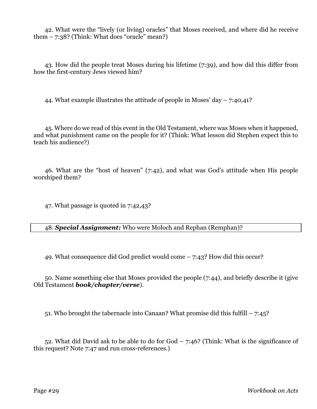42. What were the "lively (or living) oracles" that Moses received, and where did he receive them – 7:38? (Think: What does "oracle" mean?)

43. How did the people treat Moses during his lifetime (7:39), and how did this differ from how the first-century Jews viewed him?

44. What example illustrates the attitude of people in Moses' day  $-7:40,41$ ?

45. Where do we read of this event in the Old Testament, where was Moses when it happened, and what punishment came on the people for it? (Think: What lesson did Stephen expect this to teach his audience?)

46. What are the "host of heaven" (7:42), and what was God's attitude when His people worshiped them?

47. What passage is quoted in 7:42,43?

48. *Special Assignment:* Who were Moloch and Rephan (Remphan)?

49. What consequence did God predict would come – 7:43? How did this occur?

50. Name something else that Moses provided the people (7:44), and briefly describe it (give Old Testament *book/chapter/verse*).

51. Who brought the tabernacle into Canaan? What promise did this fulfill – 7:45?

52. What did David ask to be able to do for God – 7:46? (Think: What is the significance of this request? Note 7:47 and run cross-references.)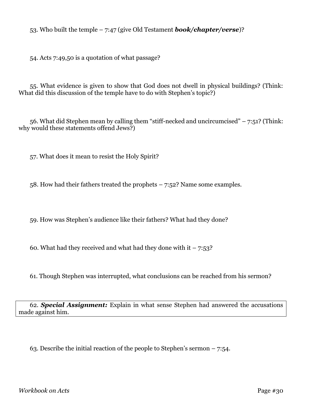53. Who built the temple – 7:47 (give Old Testament *book/chapter/verse*)?

54. Acts 7:49,50 is a quotation of what passage?

55. What evidence is given to show that God does not dwell in physical buildings? (Think: What did this discussion of the temple have to do with Stephen's topic?)

56. What did Stephen mean by calling them "stiff-necked and uncircumcised"  $-7:51$ ? (Think: why would these statements offend Jews?)

57. What does it mean to resist the Holy Spirit?

58. How had their fathers treated the prophets – 7:52? Name some examples.

59. How was Stephen's audience like their fathers? What had they done?

60. What had they received and what had they done with it  $-7:53$ ?

61. Though Stephen was interrupted, what conclusions can be reached from his sermon?

62. *Special Assignment:* Explain in what sense Stephen had answered the accusations made against him.

63. Describe the initial reaction of the people to Stephen's sermon – 7:54.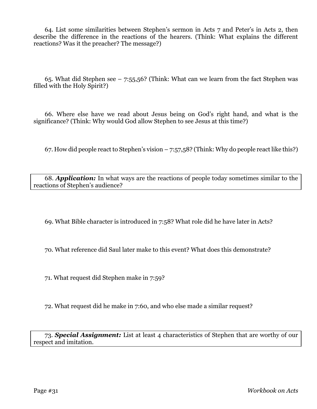64. List some similarities between Stephen's sermon in Acts 7 and Peter's in Acts 2, then describe the difference in the reactions of the hearers. (Think: What explains the different reactions? Was it the preacher? The message?)

65. What did Stephen see  $-7:55,56$ ? (Think: What can we learn from the fact Stephen was filled with the Holy Spirit?)

66. Where else have we read about Jesus being on God's right hand, and what is the significance? (Think: Why would God allow Stephen to see Jesus at this time?)

67. How did people react to Stephen's vision  $-7:57,58$ ? (Think: Why do people react like this?)

68. *Application:* In what ways are the reactions of people today sometimes similar to the reactions of Stephen's audience?

69. What Bible character is introduced in 7:58? What role did he have later in Acts?

70. What reference did Saul later make to this event? What does this demonstrate?

71. What request did Stephen make in 7:59?

72. What request did he make in 7:60, and who else made a similar request?

73. *Special Assignment:* List at least 4 characteristics of Stephen that are worthy of our respect and imitation.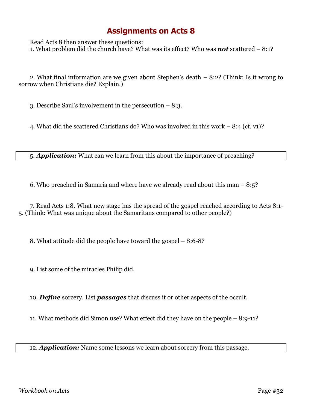Read Acts 8 then answer these questions: 1. What problem did the church have? What was its effect? Who was *not* scattered – 8:1?

2. What final information are we given about Stephen's death – 8:2? (Think: Is it wrong to sorrow when Christians die? Explain.)

3. Describe Saul's involvement in the persecution – 8:3.

4. What did the scattered Christians do? Who was involved in this work – 8:4 (cf. v1)?

5. *Application:* What can we learn from this about the importance of preaching?

6. Who preached in Samaria and where have we already read about this man – 8:5?

7. Read Acts 1:8. What new stage has the spread of the gospel reached according to Acts 8:1- 5. (Think: What was unique about the Samaritans compared to other people?)

8. What attitude did the people have toward the gospel – 8:6-8?

9. List some of the miracles Philip did.

10. *Define* sorcery. List *passages* that discuss it or other aspects of the occult.

11. What methods did Simon use? What effect did they have on the people – 8:9-11?

12. *Application:* Name some lessons we learn about sorcery from this passage.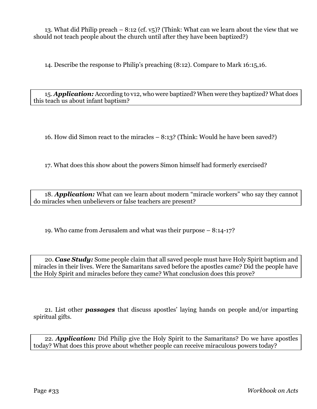13. What did Philip preach – 8:12 (cf.  $v_5$ )? (Think: What can we learn about the view that we should not teach people about the church until after they have been baptized?)

14. Describe the response to Philip's preaching (8:12). Compare to Mark 16:15,16.

15. *Application:* According to v12, who were baptized? When were they baptized? What does this teach us about infant baptism?

16. How did Simon react to the miracles – 8:13? (Think: Would he have been saved?)

17. What does this show about the powers Simon himself had formerly exercised?

18. *Application:* What can we learn about modern "miracle workers" who say they cannot do miracles when unbelievers or false teachers are present?

19. Who came from Jerusalem and what was their purpose – 8:14-17?

20. *Case Study:* Some people claim that all saved people must have Holy Spirit baptism and miracles in their lives. Were the Samaritans saved before the apostles came? Did the people have the Holy Spirit and miracles before they came? What conclusion does this prove?

21. List other *passages* that discuss apostles' laying hands on people and/or imparting spiritual gifts.

22. *Application:* Did Philip give the Holy Spirit to the Samaritans? Do we have apostles today? What does this prove about whether people can receive miraculous powers today?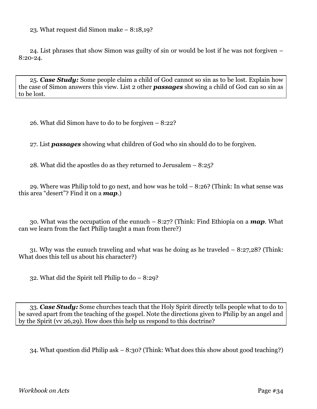23. What request did Simon make – 8:18,19?

24. List phrases that show Simon was guilty of sin or would be lost if he was not forgiven – 8:20-24.

25. *Case Study:* Some people claim a child of God cannot so sin as to be lost. Explain how the case of Simon answers this view. List 2 other *passages* showing a child of God can so sin as to be lost.

26. What did Simon have to do to be forgiven – 8:22?

27. List *passages* showing what children of God who sin should do to be forgiven.

28. What did the apostles do as they returned to Jerusalem – 8:25?

29. Where was Philip told to go next, and how was he told – 8:26? (Think: In what sense was this area "desert"? Find it on a *map*.)

30. What was the occupation of the eunuch – 8:27? (Think: Find Ethiopia on a *map*. What can we learn from the fact Philip taught a man from there?)

31. Why was the eunuch traveling and what was he doing as he traveled – 8:27,28? (Think: What does this tell us about his character?)

32. What did the Spirit tell Philip to do – 8:29?

33. *Case Study:* Some churches teach that the Holy Spirit directly tells people what to do to be saved apart from the teaching of the gospel. Note the directions given to Philip by an angel and by the Spirit (vv 26,29). How does this help us respond to this doctrine?

34. What question did Philip ask – 8:30? (Think: What does this show about good teaching?)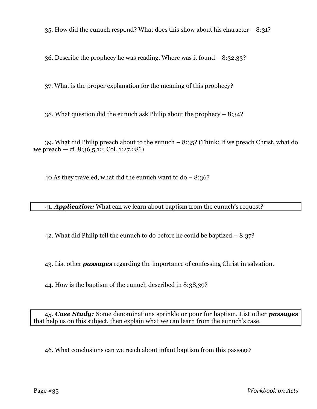35. How did the eunuch respond? What does this show about his character – 8:31?

36. Describe the prophecy he was reading. Where was it found – 8:32,33?

37. What is the proper explanation for the meaning of this prophecy?

38. What question did the eunuch ask Philip about the prophecy – 8:34?

39. What did Philip preach about to the eunuch – 8:35? (Think: If we preach Christ, what do we preach — cf. 8:36,5,12; Col. 1:27,28?)

40 As they traveled, what did the eunuch want to  $do - 8:36$ ?

41. *Application:* What can we learn about baptism from the eunuch's request?

42. What did Philip tell the eunuch to do before he could be baptized – 8:37?

43. List other *passages* regarding the importance of confessing Christ in salvation.

44. How is the baptism of the eunuch described in 8:38,39?

45. *Case Study:* Some denominations sprinkle or pour for baptism. List other *passages* that help us on this subject, then explain what we can learn from the eunuch's case.

46. What conclusions can we reach about infant baptism from this passage?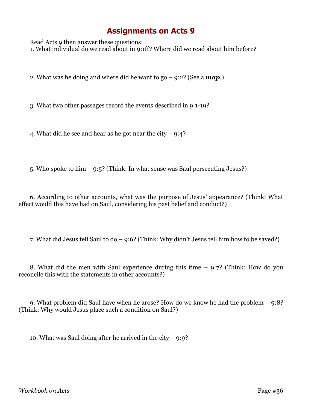Read Acts 9 then answer these questions: 1. What individual do we read about in 9:1ff? Where did we read about him before?

2. What was he doing and where did he want to go – 9:2? (See a *map*.)

3. What two other passages record the events described in 9:1-19?

4. What did he see and hear as he got near the city  $-9:4$ ?

5. Who spoke to him – 9:5? (Think: In what sense was Saul persecuting Jesus?)

6. According to other accounts, what was the purpose of Jesus' appearance? (Think: What effect would this have had on Saul, considering his past belief and conduct?)

7. What did Jesus tell Saul to do – 9:6? (Think: Why didn't Jesus tell him how to be saved?)

8. What did the men with Saul experience during this time – 9:7? (Think: How do you reconcile this with the statements in other accounts?)

9. What problem did Saul have when he arose? How do we know he had the problem – 9:8? (Think: Why would Jesus place such a condition on Saul?)

10. What was Saul doing after he arrived in the city  $-9:9$ ?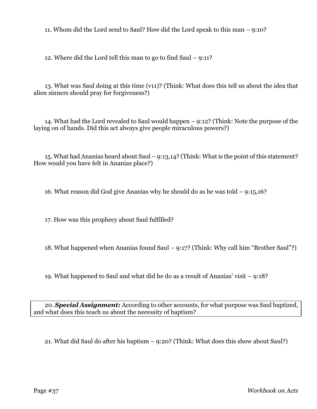11. Whom did the Lord send to Saul? How did the Lord speak to this man – 9:10?

12. Where did the Lord tell this man to go to find Saul – 9:11?

13. What was Saul doing at this time (v11)? (Think: What does this tell us about the idea that alien sinners should pray for forgiveness?)

14. What had the Lord revealed to Saul would happen – 9:12? (Think: Note the purpose of the laying on of hands. Did this act always give people miraculous powers?)

15. What had Ananias heard about Saul – 9:13,14? (Think: What is the point of this statement? How would you have felt in Ananias place?)

16. What reason did God give Ananias why he should do as he was told – 9:15,16?

17. How was this prophecy about Saul fulfilled?

18. What happened when Ananias found Saul – 9:17? (Think: Why call him "Brother Saul"?)

19. What happened to Saul and what did he do as a result of Ananias' visit – 9:18?

20. *Special Assignment:* According to other accounts, for what purpose was Saul baptized, and what does this teach us about the necessity of baptism?

21. What did Saul do after his baptism – 9:20? (Think: What does this show about Saul?)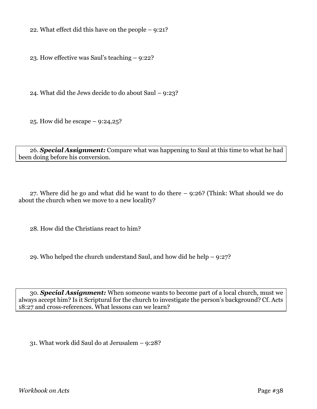22. What effect did this have on the people – 9:21?

23. How effective was Saul's teaching – 9:22?

24. What did the Jews decide to do about Saul – 9:23?

25. How did he escape – 9:24,25?

26. *Special Assignment:* Compare what was happening to Saul at this time to what he had been doing before his conversion.

27. Where did he go and what did he want to do there – 9:26? (Think: What should we do about the church when we move to a new locality?

28. How did the Christians react to him?

29. Who helped the church understand Saul, and how did he help – 9:27?

30. *Special Assignment:* When someone wants to become part of a local church, must we always accept him? Is it Scriptural for the church to investigate the person's background? Cf. Acts 18:27 and cross-references. What lessons can we learn?

31. What work did Saul do at Jerusalem – 9:28?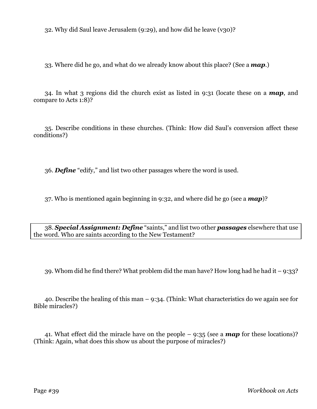32. Why did Saul leave Jerusalem (9:29), and how did he leave (v30)?

33. Where did he go, and what do we already know about this place? (See a *map*.)

34. In what 3 regions did the church exist as listed in 9:31 (locate these on a *map*, and compare to Acts 1:8)?

35. Describe conditions in these churches. (Think: How did Saul's conversion affect these conditions?)

36. *Define* "edify," and list two other passages where the word is used.

37. Who is mentioned again beginning in 9:32, and where did he go (see a *map*)?

38. *Special Assignment: Define* "saints," and list two other *passages* elsewhere that use the word. Who are saints according to the New Testament?

39. Whom did he find there? What problem did the man have? How long had he had it – 9:33?

40. Describe the healing of this man – 9:34. (Think: What characteristics do we again see for Bible miracles?)

41. What effect did the miracle have on the people – 9:35 (see a *map* for these locations)? (Think: Again, what does this show us about the purpose of miracles?)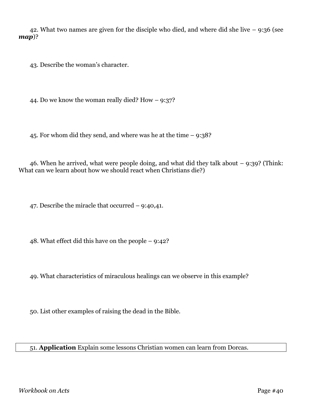42. What two names are given for the disciple who died, and where did she live – 9:36 (see *map*)?

43. Describe the woman's character.

44. Do we know the woman really died? How – 9:37?

45. For whom did they send, and where was he at the time – 9:38?

46. When he arrived, what were people doing, and what did they talk about – 9:39? (Think: What can we learn about how we should react when Christians die?)

47. Describe the miracle that occurred – 9:40,41.

48. What effect did this have on the people – 9:42?

49. What characteristics of miraculous healings can we observe in this example?

50. List other examples of raising the dead in the Bible.

51. **Application** Explain some lessons Christian women can learn from Dorcas.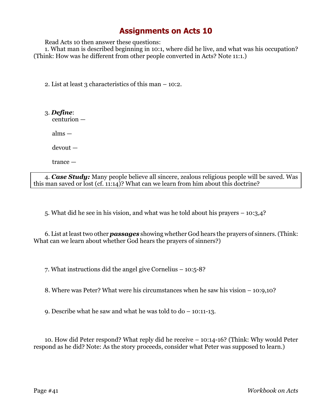Read Acts 10 then answer these questions:

1. What man is described beginning in 10:1, where did he live, and what was his occupation? (Think: How was he different from other people converted in Acts? Note 11:1.)

2. List at least 3 characteristics of this man – 10:2.

3. *Define*: centurion —

alms —

devout —

trance —

4. *Case Study:* Many people believe all sincere, zealous religious people will be saved. Was this man saved or lost (cf. 11:14)? What can we learn from him about this doctrine?

5. What did he see in his vision, and what was he told about his prayers – 10:3,4?

6. List at least two other *passages* showing whether God hears the prayers of sinners. (Think: What can we learn about whether God hears the prayers of sinners?)

7. What instructions did the angel give Cornelius – 10:5-8?

8. Where was Peter? What were his circumstances when he saw his vision – 10:9,10?

9. Describe what he saw and what he was told to do – 10:11-13.

10. How did Peter respond? What reply did he receive – 10:14-16? (Think: Why would Peter respond as he did? Note: As the story proceeds, consider what Peter was supposed to learn.)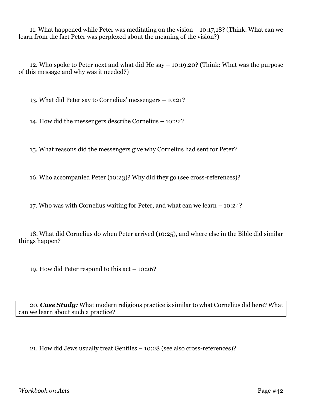11. What happened while Peter was meditating on the vision – 10:17,18? (Think: What can we learn from the fact Peter was perplexed about the meaning of the vision?)

12. Who spoke to Peter next and what did He say – 10:19,20? (Think: What was the purpose of this message and why was it needed?)

13. What did Peter say to Cornelius' messengers – 10:21?

14. How did the messengers describe Cornelius – 10:22?

15. What reasons did the messengers give why Cornelius had sent for Peter?

16. Who accompanied Peter (10:23)? Why did they go (see cross-references)?

17. Who was with Cornelius waiting for Peter, and what can we learn – 10:24?

18. What did Cornelius do when Peter arrived (10:25), and where else in the Bible did similar things happen?

19. How did Peter respond to this act – 10:26?

20. *Case Study:* What modern religious practice is similar to what Cornelius did here? What can we learn about such a practice?

21. How did Jews usually treat Gentiles – 10:28 (see also cross-references)?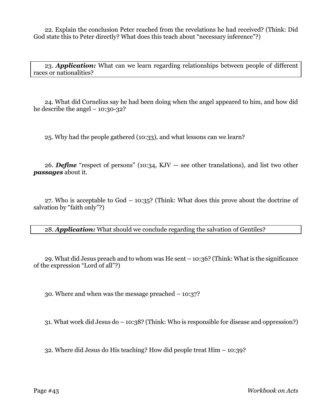22. Explain the conclusion Peter reached from the revelations he had received? (Think: Did God state this to Peter directly? What does this teach about "necessary inference"?)

23. *Application:* What can we learn regarding relationships between people of different races or nationalities?

24. What did Cornelius say he had been doing when the angel appeared to him, and how did he describe the angel  $-10:30-32$ ?

25. Why had the people gathered (10:33), and what lessons can we learn?

26. *Define* "respect of persons" (10:34, KJV — see other translations), and list two other *passages* about it.

27. Who is acceptable to God – 10:35? (Think: What does this prove about the doctrine of salvation by "faith only"?)

28. *Application:* What should we conclude regarding the salvation of Gentiles?

29. What did Jesus preach and to whom was He sent – 10:36? (Think: What is the significance of the expression "Lord of all"?)

30. Where and when was the message preached – 10:37?

31. What work did Jesus do – 10:38? (Think: Who is responsible for disease and oppression?)

32. Where did Jesus do His teaching? How did people treat Him – 10:39?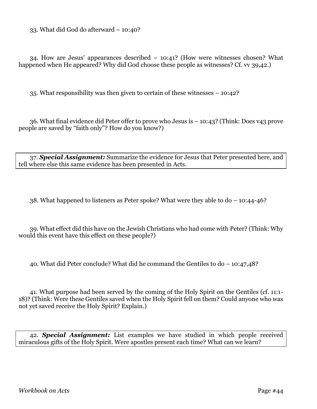33. What did God do afterward – 10:40?

34. How are Jesus' appearances described – 10:41? (How were witnesses chosen? What happened when He appeared? Why did God choose these people as witnesses? Cf. vv 39,42.

35. What responsibility was then given to certain of these witnesses – 10:42?

36. What final evidence did Peter offer to prove who Jesus is – 10:43? (Think: Does v43 prove people are saved by "faith only"? How do you know?)

37. *Special Assignment:* Summarize the evidence for Jesus that Peter presented here, and tell where else this same evidence has been presented in Acts.

38. What happened to listeners as Peter spoke? What were they able to do – 10:44-46?

39. What effect did this have on the Jewish Christians who had come with Peter? (Think: Why would this event have this effect on these people?)

40. What did Peter conclude? What did he command the Gentiles to do – 10:47,48?

41. What purpose had been served by the coming of the Holy Spirit on the Gentiles (cf. 11:1- 18)? (Think: Were these Gentiles saved when the Holy Spirit fell on them? Could anyone who was not yet saved receive the Holy Spirit? Explain.)

42. *Special Assignment:* List examples we have studied in which people received miraculous gifts of the Holy Spirit. Were apostles present each time? What can we learn?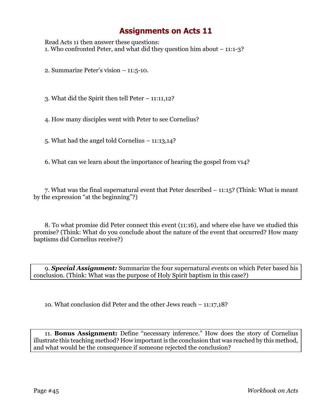Read Acts 11 then answer these questions: 1. Who confronted Peter, and what did they question him about – 11:1-3?

2. Summarize Peter's vision – 11:5-10.

3. What did the Spirit then tell Peter – 11:11,12?

4. How many disciples went with Peter to see Cornelius?

5. What had the angel told Cornelius – 11:13,14?

6. What can we learn about the importance of hearing the gospel from v14?

7. What was the final supernatural event that Peter described – 11:15? (Think: What is meant by the expression "at the beginning"?)

8. To what promise did Peter connect this event (11:16), and where else have we studied this promise? (Think: What do you conclude about the nature of the event that occurred? How many baptisms did Cornelius receive?)

9. *Special Assignment:* Summarize the four supernatural events on which Peter based his conclusion. (Think: What was the purpose of Holy Spirit baptism in this case?)

10. What conclusion did Peter and the other Jews reach – 11:17,18?

11. **Bonus Assignment:** Define "necessary inference." How does the story of Cornelius illustrate this teaching method? How important is the conclusion that was reached by this method, and what would be the consequence if someone rejected the conclusion?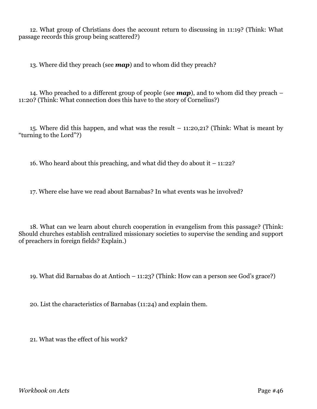12. What group of Christians does the account return to discussing in 11:19? (Think: What passage records this group being scattered?)

13. Where did they preach (see *map*) and to whom did they preach?

14. Who preached to a different group of people (see *map*), and to whom did they preach – 11:20? (Think: What connection does this have to the story of Cornelius?)

15. Where did this happen, and what was the result – 11:20,21? (Think: What is meant by "turning to the Lord"?)

16. Who heard about this preaching, and what did they do about it  $-11:22$ ?

17. Where else have we read about Barnabas? In what events was he involved?

18. What can we learn about church cooperation in evangelism from this passage? (Think: Should churches establish centralized missionary societies to supervise the sending and support of preachers in foreign fields? Explain.)

19. What did Barnabas do at Antioch – 11:23? (Think: How can a person see God's grace?)

20. List the characteristics of Barnabas (11:24) and explain them.

21. What was the effect of his work?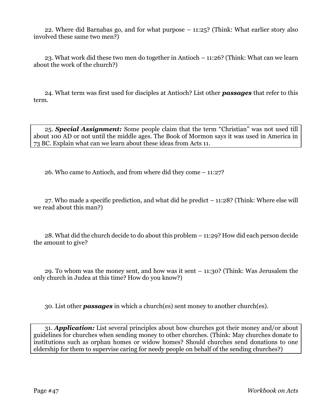22. Where did Barnabas go, and for what purpose – 11:25? (Think: What earlier story also involved these same two men?)

23. What work did these two men do together in Antioch – 11:26? (Think: What can we learn about the work of the church?)

24. What term was first used for disciples at Antioch? List other *passages* that refer to this term.

25. *Special Assignment:* Some people claim that the term "Christian" was not used till about 100 AD or not until the middle ages. The Book of Mormon says it was used in America in 73 BC. Explain what can we learn about these ideas from Acts 11.

26. Who came to Antioch, and from where did they come – 11:27?

27. Who made a specific prediction, and what did he predict – 11:28? (Think: Where else will we read about this man?)

28. What did the church decide to do about this problem – 11:29? How did each person decide the amount to give?

29. To whom was the money sent, and how was it sent – 11:30? (Think: Was Jerusalem the only church in Judea at this time? How do you know?)

30. List other *passages* in which a church(es) sent money to another church(es).

31. *Application:* List several principles about how churches got their money and/or about guidelines for churches when sending money to other churches. (Think: May churches donate to institutions such as orphan homes or widow homes? Should churches send donations to one eldership for them to supervise caring for needy people on behalf of the sending churches?)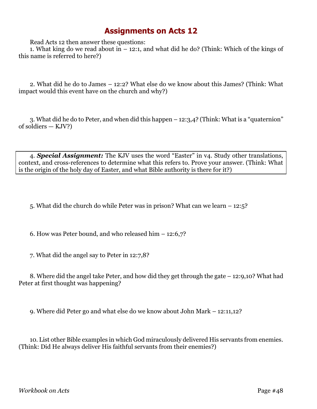Read Acts 12 then answer these questions:

1. What king do we read about in – 12:1, and what did he do? (Think: Which of the kings of this name is referred to here?)

2. What did he do to James – 12:2? What else do we know about this James? (Think: What impact would this event have on the church and why?)

3. What did he do to Peter, and when did this happen – 12:3,4? (Think: What is a "quaternion" of soldiers — KJV?)

4. *Special Assignment:* The KJV uses the word "Easter" in v4. Study other translations, context, and cross-references to determine what this refers to. Prove your answer. (Think: What is the origin of the holy day of Easter, and what Bible authority is there for it?)

5. What did the church do while Peter was in prison? What can we learn – 12:5?

6. How was Peter bound, and who released him – 12:6,7?

7. What did the angel say to Peter in 12:7,8?

8. Where did the angel take Peter, and how did they get through the gate – 12:9,10? What had Peter at first thought was happening?

9. Where did Peter go and what else do we know about John Mark – 12:11,12?

10. List other Bible examples in which God miraculously delivered His servants from enemies. (Think: Did He always deliver His faithful servants from their enemies?)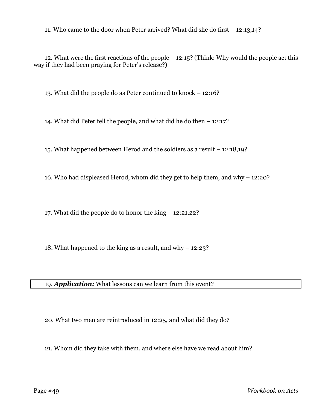11. Who came to the door when Peter arrived? What did she do first – 12:13,14?

12. What were the first reactions of the people – 12:15? (Think: Why would the people act this way if they had been praying for Peter's release?)

13. What did the people do as Peter continued to knock – 12:16?

14. What did Peter tell the people, and what did he do then – 12:17?

15. What happened between Herod and the soldiers as a result – 12:18,19?

16. Who had displeased Herod, whom did they get to help them, and why – 12:20?

17. What did the people do to honor the king – 12:21,22?

18. What happened to the king as a result, and why – 12:23?

19. *Application:* What lessons can we learn from this event?

20. What two men are reintroduced in 12:25, and what did they do?

21. Whom did they take with them, and where else have we read about him?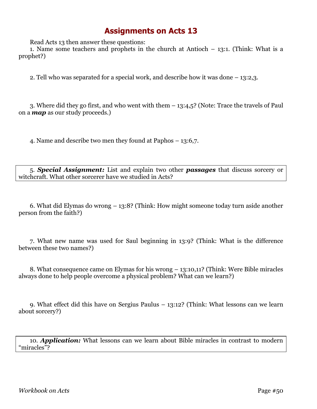Read Acts 13 then answer these questions:

1. Name some teachers and prophets in the church at Antioch – 13:1. (Think: What is a prophet?)

2. Tell who was separated for a special work, and describe how it was done – 13:2,3.

3. Where did they go first, and who went with them – 13:4,5? (Note: Trace the travels of Paul on a *map* as our study proceeds.)

4. Name and describe two men they found at Paphos – 13:6,7.

5. *Special Assignment:* List and explain two other *passages* that discuss sorcery or witchcraft. What other sorcerer have we studied in Acts?

6. What did Elymas do wrong – 13:8? (Think: How might someone today turn aside another person from the faith?)

7. What new name was used for Saul beginning in 13:9? (Think: What is the difference between these two names?)

8. What consequence came on Elymas for his wrong – 13:10,11? (Think: Were Bible miracles always done to help people overcome a physical problem? What can we learn?)

9. What effect did this have on Sergius Paulus – 13:12? (Think: What lessons can we learn about sorcery?)

10. *Application:* What lessons can we learn about Bible miracles in contrast to modern "miracles"?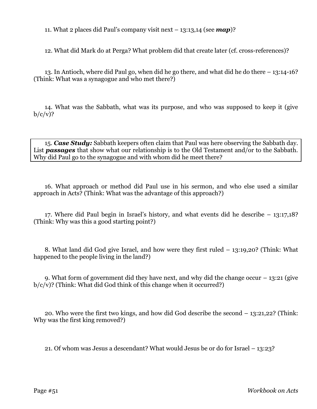11. What 2 places did Paul's company visit next – 13:13,14 (see *map*)?

12. What did Mark do at Perga? What problem did that create later (cf. cross-references)?

13. In Antioch, where did Paul go, when did he go there, and what did he do there – 13:14-16? (Think: What was a synagogue and who met there?)

14. What was the Sabbath, what was its purpose, and who was supposed to keep it (give  $b/c/v$ ?

15. *Case Study:* Sabbath keepers often claim that Paul was here observing the Sabbath day. List *passages* that show what our relationship is to the Old Testament and/or to the Sabbath. Why did Paul go to the synagogue and with whom did he meet there?

16. What approach or method did Paul use in his sermon, and who else used a similar approach in Acts? (Think: What was the advantage of this approach?)

17. Where did Paul begin in Israel's history, and what events did he describe – 13:17,18? (Think: Why was this a good starting point?)

8. What land did God give Israel, and how were they first ruled – 13:19,20? (Think: What happened to the people living in the land?)

9. What form of government did they have next, and why did the change occur  $-13:21$  (give  $b/c/v$ ? (Think: What did God think of this change when it occurred?)

20. Who were the first two kings, and how did God describe the second – 13:21,22? (Think: Why was the first king removed?)

21. Of whom was Jesus a descendant? What would Jesus be or do for Israel – 13:23?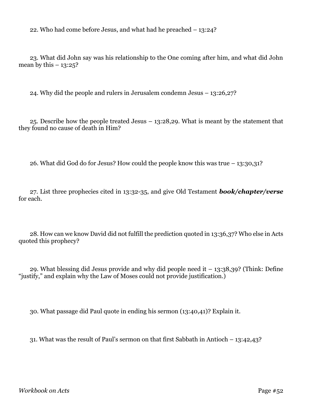22. Who had come before Jesus, and what had he preached – 13:24?

23. What did John say was his relationship to the One coming after him, and what did John mean by this  $-13:25$ ?

24. Why did the people and rulers in Jerusalem condemn Jesus – 13:26,27?

25. Describe how the people treated Jesus – 13:28,29. What is meant by the statement that they found no cause of death in Him?

26. What did God do for Jesus? How could the people know this was true – 13:30,31?

27. List three prophecies cited in 13:32-35, and give Old Testament *book/chapter/verse* for each.

28. How can we know David did not fulfill the prediction quoted in 13:36,37? Who else in Acts quoted this prophecy?

29. What blessing did Jesus provide and why did people need it  $-13:38,39$ ? (Think: Define "justify," and explain why the Law of Moses could not provide justification.)

30. What passage did Paul quote in ending his sermon (13:40,41)? Explain it.

31. What was the result of Paul's sermon on that first Sabbath in Antioch – 13:42,43?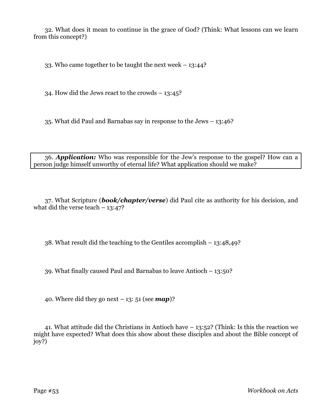32. What does it mean to continue in the grace of God? (Think: What lessons can we learn from this concept?)

33. Who came together to be taught the next week – 13:44?

34. How did the Jews react to the crowds – 13:45?

35. What did Paul and Barnabas say in response to the Jews – 13:46?

36. *Application:* Who was responsible for the Jew's response to the gospel? How can a person judge himself unworthy of eternal life? What application should we make?

37. What Scripture (*book/chapter/verse*) did Paul cite as authority for his decision, and what did the verse teach  $-13:47?$ 

38. What result did the teaching to the Gentiles accomplish – 13:48,49?

39. What finally caused Paul and Barnabas to leave Antioch – 13:50?

40. Where did they go next  $-13$ : 51 (see **map**)?

41. What attitude did the Christians in Antioch have – 13:52? (Think: Is this the reaction we might have expected? What does this show about these disciples and about the Bible concept of joy?)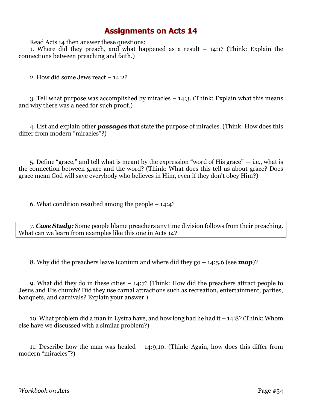Read Acts 14 then answer these questions:

1. Where did they preach, and what happened as a result – 14:1? (Think: Explain the connections between preaching and faith.)

2. How did some Jews react – 14:2?

3. Tell what purpose was accomplished by miracles – 14:3. (Think: Explain what this means and why there was a need for such proof.)

4. List and explain other *passages* that state the purpose of miracles. (Think: How does this differ from modern "miracles"?)

5. Define "grace," and tell what is meant by the expression "word of His grace"  $-$  i.e., what is the connection between grace and the word? (Think: What does this tell us about grace? Does grace mean God will save everybody who believes in Him, even if they don't obey Him?)

6. What condition resulted among the people – 14:4?

7. *Case Study:* Some people blame preachers any time division follows from their preaching. What can we learn from examples like this one in Acts 14?

8. Why did the preachers leave Iconium and where did they go – 14:5,6 (see *map*)?

9. What did they do in these cities – 14:7? (Think: How did the preachers attract people to Jesus and His church? Did they use carnal attractions such as recreation, entertainment, parties, banquets, and carnivals? Explain your answer.)

10. What problem did a man in Lystra have, and how long had he had it – 14:8? (Think: Whom else have we discussed with a similar problem?)

11. Describe how the man was healed – 14:9,10. (Think: Again, how does this differ from modern "miracles"?)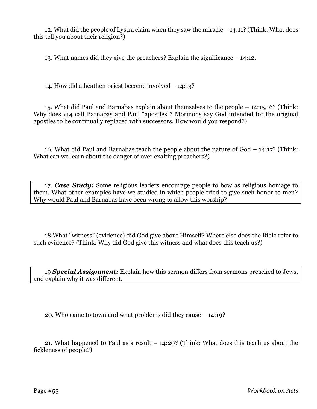12. What did the people of Lystra claim when they saw the miracle – 14:11? (Think: What does this tell you about their religion?)

13. What names did they give the preachers? Explain the significance – 14:12.

14. How did a heathen priest become involved – 14:13?

15. What did Paul and Barnabas explain about themselves to the people – 14:15,16? (Think: Why does v14 call Barnabas and Paul "apostles"? Mormons say God intended for the original apostles to be continually replaced with successors. How would you respond?)

16. What did Paul and Barnabas teach the people about the nature of God – 14:17? (Think: What can we learn about the danger of over exalting preachers?)

17. *Case Study:* Some religious leaders encourage people to bow as religious homage to them. What other examples have we studied in which people tried to give such honor to men? Why would Paul and Barnabas have been wrong to allow this worship?

18 What "witness" (evidence) did God give about Himself? Where else does the Bible refer to such evidence? (Think: Why did God give this witness and what does this teach us?)

19 *Special Assignment:* Explain how this sermon differs from sermons preached to Jews, and explain why it was different.

20. Who came to town and what problems did they cause – 14:19?

21. What happened to Paul as a result – 14:20? (Think: What does this teach us about the fickleness of people?)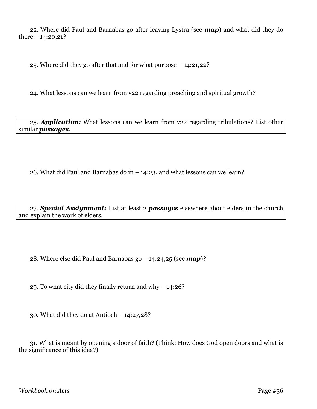22. Where did Paul and Barnabas go after leaving Lystra (see *map*) and what did they do there  $-14:20,21?$ 

23. Where did they go after that and for what purpose – 14:21,22?

24. What lessons can we learn from v22 regarding preaching and spiritual growth?

25. *Application:* What lessons can we learn from v22 regarding tribulations? List other similar *passages*.

26. What did Paul and Barnabas do in – 14:23, and what lessons can we learn?

27. *Special Assignment:* List at least 2 *passages* elsewhere about elders in the church and explain the work of elders.

28. Where else did Paul and Barnabas go – 14:24,25 (see *map*)?

29. To what city did they finally return and why – 14:26?

30. What did they do at Antioch – 14:27,28?

31. What is meant by opening a door of faith? (Think: How does God open doors and what is the significance of this idea?)

*Workbook on Acts* Page #56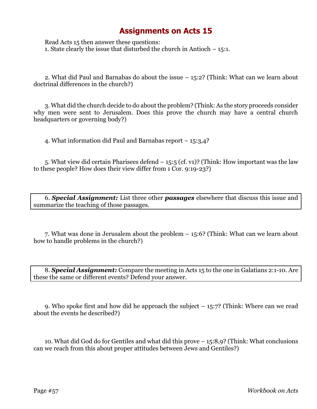Read Acts 15 then answer these questions: 1. State clearly the issue that disturbed the church in Antioch – 15:1.

2. What did Paul and Barnabas do about the issue – 15:2? (Think: What can we learn about doctrinal differences in the church?)

3. What did the church decide to do about the problem? (Think: As the story proceeds consider why men were sent to Jerusalem. Does this prove the church may have a central church headquarters or governing body?)

4. What information did Paul and Barnabas report – 15:3,4?

5. What view did certain Pharisees defend – 15:5 (cf. v1)? (Think: How important was the law to these people? How does their view differ from 1 Cor. 9:19-23?)

6. *Special Assignment:* List three other *passages* elsewhere that discuss this issue and summarize the teaching of those passages.

7. What was done in Jerusalem about the problem – 15:6? (Think: What can we learn about how to handle problems in the church?)

8. *Special Assignment:* Compare the meeting in Acts 15 to the one in Galatians 2:1-10. Are these the same or different events? Defend your answer.

9. Who spoke first and how did he approach the subject  $-15:7$ ? (Think: Where can we read about the events he described?)

10. What did God do for Gentiles and what did this prove – 15:8,9? (Think: What conclusions can we reach from this about proper attitudes between Jews and Gentiles?)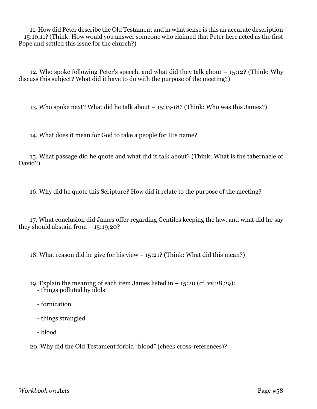11. How did Peter describe the Old Testament and in what sense is this an accurate description – 15:10,11? (Think: How would you answer someone who claimed that Peter here acted as the first Pope and settled this issue for the church?)

12. Who spoke following Peter's speech, and what did they talk about – 15:12? (Think: Why discuss this subject? What did it have to do with the purpose of the meeting?)

13. Who spoke next? What did he talk about – 15:13-18? (Think: Who was this James?)

14. What does it mean for God to take a people for His name?

15. What passage did he quote and what did it talk about? (Think: What is the tabernacle of David?)

16. Why did he quote this Scripture? How did it relate to the purpose of the meeting?

17. What conclusion did James offer regarding Gentiles keeping the law, and what did he say they should abstain from  $-15:19,20$ ?

18. What reason did he give for his view – 15:21? (Think: What did this mean?)

- 19. Explain the meaning of each item James listed in  $-$  15:20 (cf. vv 28,29):
	- things polluted by idols
	- fornication
	- things strangled
	- blood

20. Why did the Old Testament forbid "blood" (check cross-references)?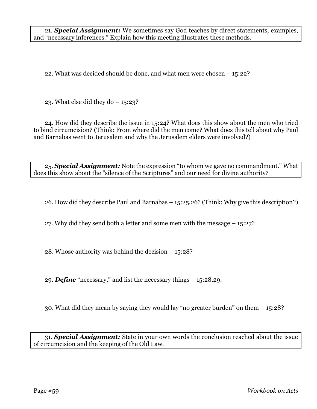21. *Special Assignment:* We sometimes say God teaches by direct statements, examples, and "necessary inferences." Explain how this meeting illustrates these methods.

22. What was decided should be done, and what men were chosen – 15:22?

23. What else did they do  $-15:23$ ?

24. How did they describe the issue in 15:24? What does this show about the men who tried to bind circumcision? (Think: From where did the men come? What does this tell about why Paul and Barnabas went to Jerusalem and why the Jerusalem elders were involved?)

25. *Special Assignment:* Note the expression "to whom we gave no commandment." What does this show about the "silence of the Scriptures" and our need for divine authority?

26. How did they describe Paul and Barnabas – 15:25,26? (Think: Why give this description?)

27. Why did they send both a letter and some men with the message – 15:27?

28. Whose authority was behind the decision – 15:28?

29. *Define* "necessary," and list the necessary things – 15:28,29.

30. What did they mean by saying they would lay "no greater burden" on them – 15:28?

31. *Special Assignment:* State in your own words the conclusion reached about the issue of circumcision and the keeping of the Old Law.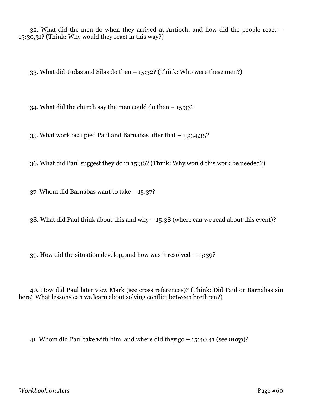32. What did the men do when they arrived at Antioch, and how did the people react – 15:30,31? (Think: Why would they react in this way?)

33. What did Judas and Silas do then – 15:32? (Think: Who were these men?)

34. What did the church say the men could do then  $-15:33$ ?

35. What work occupied Paul and Barnabas after that – 15:34,35?

36. What did Paul suggest they do in 15:36? (Think: Why would this work be needed?)

37. Whom did Barnabas want to take – 15:37?

38. What did Paul think about this and why – 15:38 (where can we read about this event)?

39. How did the situation develop, and how was it resolved – 15:39?

40. How did Paul later view Mark (see cross references)? (Think: Did Paul or Barnabas sin here? What lessons can we learn about solving conflict between brethren?)

41. Whom did Paul take with him, and where did they go – 15:40,41 (see *map*)?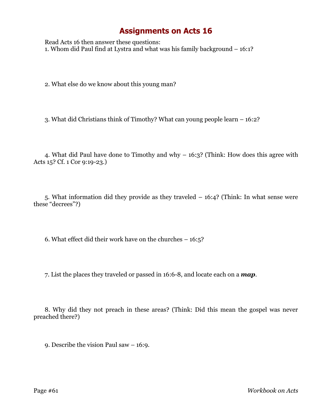Read Acts 16 then answer these questions: 1. Whom did Paul find at Lystra and what was his family background – 16:1?

2. What else do we know about this young man?

3. What did Christians think of Timothy? What can young people learn – 16:2?

4. What did Paul have done to Timothy and why – 16:3? (Think: How does this agree with Acts 15? Cf. 1 Cor 9:19-23.)

5. What information did they provide as they traveled – 16:4? (Think: In what sense were these "decrees"?)

6. What effect did their work have on the churches  $-16:5$ ?

7. List the places they traveled or passed in 16:6-8, and locate each on a *map*.

8. Why did they not preach in these areas? (Think: Did this mean the gospel was never preached there?)

9. Describe the vision Paul saw – 16:9.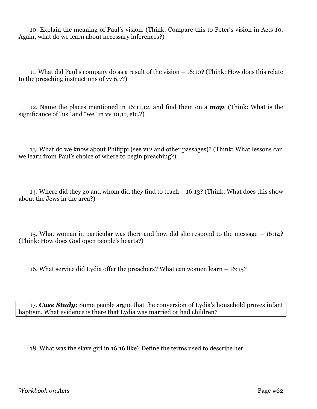10. Explain the meaning of Paul's vision. (Think: Compare this to Peter's vision in Acts 10. Again, what do we learn about necessary inferences?)

11. What did Paul's company do as a result of the vision – 16:10? (Think: How does this relate to the preaching instructions of vv 6,7?)

12. Name the places mentioned in 16:11,12, and find them on a *map*. (Think: What is the significance of "us" and "we" in vv 10,11, etc.?)

13. What do we know about Philippi (see v12 and other passages)? (Think: What lessons can we learn from Paul's choice of where to begin preaching?)

14. Where did they go and whom did they find to teach – 16:13? (Think: What does this show about the Jews in the area?)

15. What woman in particular was there and how did she respond to the message – 16:14? (Think: How does God open people's hearts?)

16. What service did Lydia offer the preachers? What can women learn – 16:15?

17. *Case Study:* Some people argue that the conversion of Lydia's household proves infant baptism. What evidence is there that Lydia was married or had children?

18. What was the slave girl in 16:16 like? Define the terms used to describe her.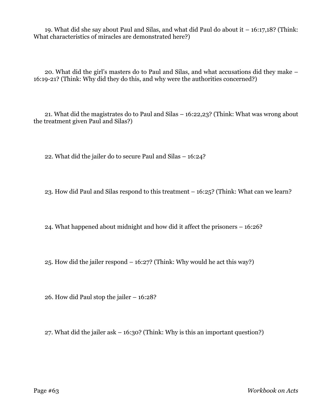19. What did she say about Paul and Silas, and what did Paul do about it – 16:17,18? (Think: What characteristics of miracles are demonstrated here?)

20. What did the girl's masters do to Paul and Silas, and what accusations did they make – 16:19-21? (Think: Why did they do this, and why were the authorities concerned?)

21. What did the magistrates do to Paul and Silas – 16:22,23? (Think: What was wrong about the treatment given Paul and Silas?)

22. What did the jailer do to secure Paul and Silas – 16:24?

23. How did Paul and Silas respond to this treatment – 16:25? (Think: What can we learn?

24. What happened about midnight and how did it affect the prisoners – 16:26?

25. How did the jailer respond – 16:27? (Think: Why would he act this way?)

26. How did Paul stop the jailer – 16:28?

27. What did the jailer ask – 16:30? (Think: Why is this an important question?)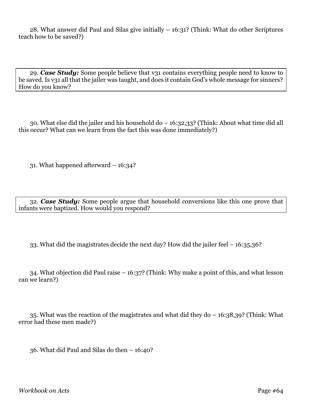28. What answer did Paul and Silas give initially – 16:31? (Think: What do other Scriptures teach how to be saved?)

29. *Case Study:* Some people believe that v31 contains everything people need to know to be saved. Is v31 all that the jailer was taught, and does it contain God's whole message for sinners? How do you know?

30. What else did the jailer and his household do – 16:32,33? (Think: About what time did all this occur? What can we learn from the fact this was done immediately?)

31. What happened afterward – 16:34?

32. *Case Study:* Some people argue that household conversions like this one prove that infants were baptized. How would you respond?

33. What did the magistrates decide the next day? How did the jailer feel – 16:35,36?

34. What objection did Paul raise – 16:37? (Think: Why make a point of this, and what lesson can we learn?)

35. What was the reaction of the magistrates and what did they do – 16:38,39? (Think: What error had these men made?)

36. What did Paul and Silas do then – 16:40?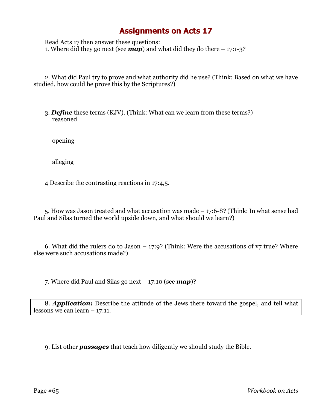Read Acts 17 then answer these questions: 1. Where did they go next (see *map*) and what did they do there – 17:1-3?

2. What did Paul try to prove and what authority did he use? (Think: Based on what we have studied, how could he prove this by the Scriptures?)

3. *Define* these terms (KJV). (Think: What can we learn from these terms?) reasoned

opening

alleging

4 Describe the contrasting reactions in 17:4,5.

5. How was Jason treated and what accusation was made – 17:6-8? (Think: In what sense had Paul and Silas turned the world upside down, and what should we learn?)

6. What did the rulers do to Jason  $-$  17:9? (Think: Were the accusations of  $v7$  true? Where else were such accusations made?)

7. Where did Paul and Silas go next – 17:10 (see *map*)?

8. *Application:* Describe the attitude of the Jews there toward the gospel, and tell what lessons we can learn – 17:11.

9. List other *passages* that teach how diligently we should study the Bible.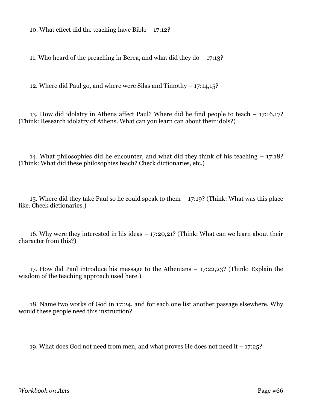10. What effect did the teaching have Bible – 17:12?

11. Who heard of the preaching in Berea, and what did they do – 17:13?

12. Where did Paul go, and where were Silas and Timothy – 17:14,15?

13. How did idolatry in Athens affect Paul? Where did he find people to teach – 17:16,17? (Think: Research idolatry of Athens. What can you learn can about their idols?)

14. What philosophies did he encounter, and what did they think of his teaching – 17:18? (Think: What did these philosophies teach? Check dictionaries, etc.)

15. Where did they take Paul so he could speak to them – 17:19? (Think: What was this place like. Check dictionaries.)

16. Why were they interested in his ideas – 17:20,21? (Think: What can we learn about their character from this?)

17. How did Paul introduce his message to the Athenians – 17:22,23? (Think: Explain the wisdom of the teaching approach used here.)

18. Name two works of God in 17:24, and for each one list another passage elsewhere. Why would these people need this instruction?

19. What does God not need from men, and what proves He does not need it – 17:25?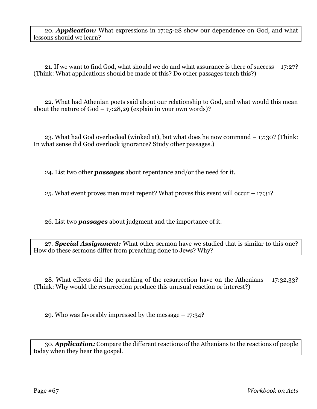20. *Application:* What expressions in 17:25-28 show our dependence on God, and what lessons should we learn?

21. If we want to find God, what should we do and what assurance is there of success – 17:27? (Think: What applications should be made of this? Do other passages teach this?)

22. What had Athenian poets said about our relationship to God, and what would this mean about the nature of  $God - 17:28,29$  (explain in your own words)?

23. What had God overlooked (winked at), but what does he now command – 17:30? (Think: In what sense did God overlook ignorance? Study other passages.)

24. List two other *passages* about repentance and/or the need for it.

25. What event proves men must repent? What proves this event will occur – 17:31?

26. List two *passages* about judgment and the importance of it.

27. *Special Assignment:* What other sermon have we studied that is similar to this one? How do these sermons differ from preaching done to Jews? Why?

28. What effects did the preaching of the resurrection have on the Athenians – 17:32,33? (Think: Why would the resurrection produce this unusual reaction or interest?)

29. Who was favorably impressed by the message – 17:34?

30. *Application:* Compare the different reactions of the Athenians to the reactions of people today when they hear the gospel.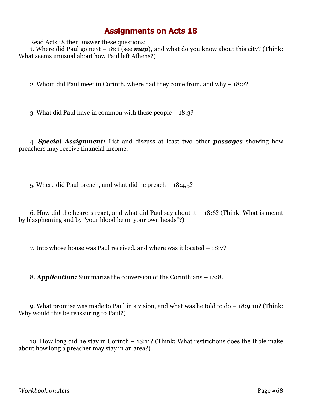Read Acts 18 then answer these questions:

1. Where did Paul go next – 18:1 (see *map*), and what do you know about this city? (Think: What seems unusual about how Paul left Athens?)

2. Whom did Paul meet in Corinth, where had they come from, and why – 18:2?

3. What did Paul have in common with these people – 18:3?

4. *Special Assignment:* List and discuss at least two other *passages* showing how preachers may receive financial income.

5. Where did Paul preach, and what did he preach – 18:4,5?

6. How did the hearers react, and what did Paul say about it  $-18:6$ ? (Think: What is meant by blaspheming and by "your blood be on your own heads"?)

7. Into whose house was Paul received, and where was it located – 18:7?

8. *Application:* Summarize the conversion of the Corinthians – 18:8.

9. What promise was made to Paul in a vision, and what was he told to do – 18:9,10? (Think: Why would this be reassuring to Paul?)

10. How long did he stay in Corinth – 18:11? (Think: What restrictions does the Bible make about how long a preacher may stay in an area?)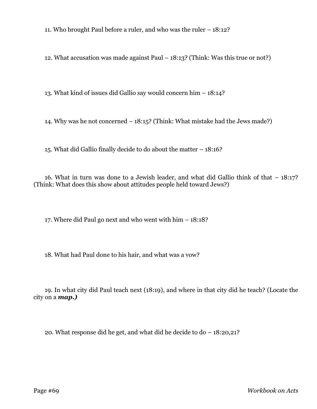11. Who brought Paul before a ruler, and who was the ruler – 18:12?

12. What accusation was made against Paul – 18:13? (Think: Was this true or not?)

13. What kind of issues did Gallio say would concern him – 18:14?

14. Why was he not concerned – 18:15? (Think: What mistake had the Jews made?)

15. What did Gallio finally decide to do about the matter – 18:16?

16. What in turn was done to a Jewish leader, and what did Gallio think of that – 18:17? (Think: What does this show about attitudes people held toward Jews?)

17. Where did Paul go next and who went with him – 18:18?

18. What had Paul done to his hair, and what was a vow?

19. In what city did Paul teach next (18:19), and where in that city did he teach? (Locate the city on a *map.)*

20. What response did he get, and what did he decide to do – 18:20,21?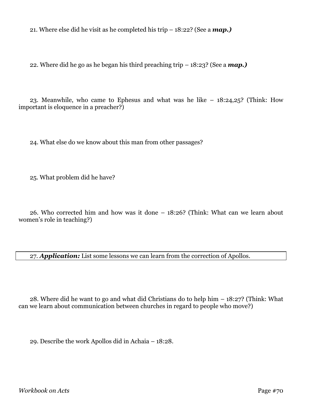21. Where else did he visit as he completed his trip – 18:22? (See a *map.)*

22. Where did he go as he began his third preaching trip – 18:23? (See a *map.)*

23. Meanwhile, who came to Ephesus and what was he like – 18:24,25? (Think: How important is eloquence in a preacher?)

24. What else do we know about this man from other passages?

25. What problem did he have?

26. Who corrected him and how was it done – 18:26? (Think: What can we learn about women's role in teaching?)

27. *Application:* List some lessons we can learn from the correction of Apollos.

28. Where did he want to go and what did Christians do to help him – 18:27? (Think: What can we learn about communication between churches in regard to people who move?)

29. Describe the work Apollos did in Achaia – 18:28.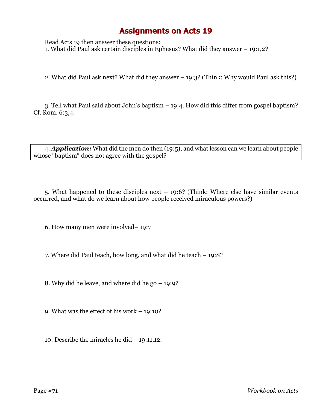Read Acts 19 then answer these questions: 1. What did Paul ask certain disciples in Ephesus? What did they answer – 19:1,2?

2. What did Paul ask next? What did they answer – 19:3? (Think: Why would Paul ask this?)

3. Tell what Paul said about John's baptism – 19:4. How did this differ from gospel baptism? Cf. Rom. 6:3,4.

4. *Application:* What did the men do then (19:5), and what lesson can we learn about people whose "baptism" does not agree with the gospel?

5. What happened to these disciples next – 19:6? (Think: Where else have similar events occurred, and what do we learn about how people received miraculous powers?)

6. How many men were involved– 19:7

7. Where did Paul teach, how long, and what did he teach – 19:8?

8. Why did he leave, and where did he go – 19:9?

9. What was the effect of his work – 19:10?

10. Describe the miracles he did – 19:11,12.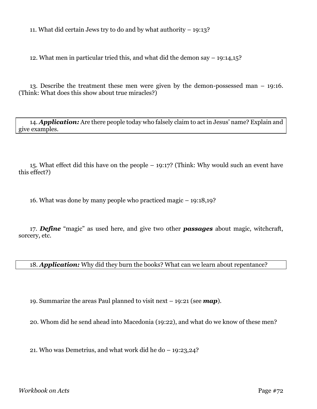11. What did certain Jews try to do and by what authority – 19:13?

12. What men in particular tried this, and what did the demon say – 19:14,15?

13. Describe the treatment these men were given by the demon-possessed man – 19:16. (Think: What does this show about true miracles?)

14. *Application:* Are there people today who falsely claim to act in Jesus' name? Explain and give examples.

15. What effect did this have on the people – 19:17? (Think: Why would such an event have this effect?)

16. What was done by many people who practiced magic – 19:18,19?

17. *Define* "magic" as used here, and give two other *passages* about magic, witchcraft, sorcery, etc.

18. *Application:* Why did they burn the books? What can we learn about repentance?

19. Summarize the areas Paul planned to visit next – 19:21 (see *map*).

20. Whom did he send ahead into Macedonia (19:22), and what do we know of these men?

21. Who was Demetrius, and what work did he do – 19:23,24?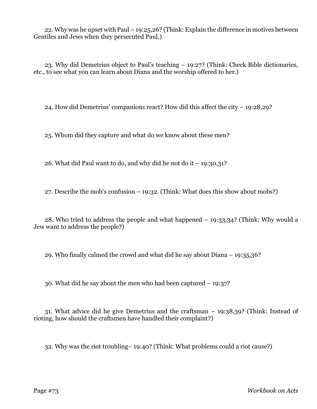22. Why was he upset with Paul – 19:25,26? (Think: Explain the difference in motives between Gentiles and Jews when they persecuted Paul.)

23. Why did Demetrius object to Paul's teaching – 19:27? (Think: Check Bible dictionaries, etc., to see what you can learn about Diana and the worship offered to her.)

24. How did Demetrius' companions react? How did this affect the city – 19:28,29?

25. Whom did they capture and what do we know about these men?

26. What did Paul want to do, and why did he not do it – 19:30,31?

27. Describe the mob's confusion – 19:32. (Think: What does this show about mobs?)

28. Who tried to address the people and what happened – 19:33,34? (Think: Why would a Jew want to address the people?)

29. Who finally calmed the crowd and what did he say about Diana – 19:35,36?

30. What did he say about the men who had been captured – 19:37?

31. What advice did he give Demetrius and the craftsman – 19:38,39? (Think: Instead of rioting, how should the craftsmen have handled their complaint?)

32. Why was the riot troubling– 19:40? (Think: What problems could a riot cause?)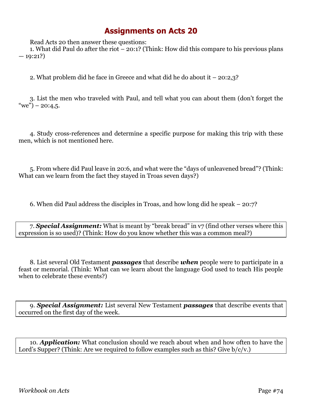Read Acts 20 then answer these questions:

1. What did Paul do after the riot – 20:1? (Think: How did this compare to his previous plans  $-19:21?$ 

2. What problem did he face in Greece and what did he do about it – 20:2,3?

3. List the men who traveled with Paul, and tell what you can about them (don't forget the "we") – 20:4,5.

4. Study cross-references and determine a specific purpose for making this trip with these men, which is not mentioned here.

5. From where did Paul leave in 20:6, and what were the "days of unleavened bread"? (Think: What can we learn from the fact they stayed in Troas seven days?)

6. When did Paul address the disciples in Troas, and how long did he speak – 20:7?

7. *Special Assignment:* What is meant by "break bread" in v7 (find other verses where this expression is so used)? (Think: How do you know whether this was a common meal?)

8. List several Old Testament *passages* that describe *when* people were to participate in a feast or memorial. (Think: What can we learn about the language God used to teach His people when to celebrate these events?)

9. *Special Assignment:* List several New Testament *passages* that describe events that occurred on the first day of the week.

10. *Application:* What conclusion should we reach about when and how often to have the Lord's Supper? (Think: Are we required to follow examples such as this? Give  $b/c/v$ .)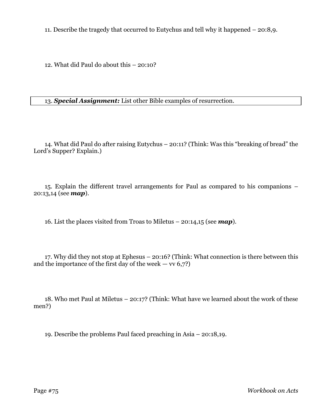11. Describe the tragedy that occurred to Eutychus and tell why it happened – 20:8,9.

12. What did Paul do about this – 20:10?

13. *Special Assignment:* List other Bible examples of resurrection.

14. What did Paul do after raising Eutychus – 20:11? (Think: Was this "breaking of bread" the Lord's Supper? Explain.)

15. Explain the different travel arrangements for Paul as compared to his companions – 20:13,14 (see *map*).

16. List the places visited from Troas to Miletus – 20:14,15 (see *map*).

17. Why did they not stop at Ephesus – 20:16? (Think: What connection is there between this and the importance of the first day of the week  $-$  vv 6,7?)

18. Who met Paul at Miletus – 20:17? (Think: What have we learned about the work of these men?)

19. Describe the problems Paul faced preaching in Asia – 20:18,19.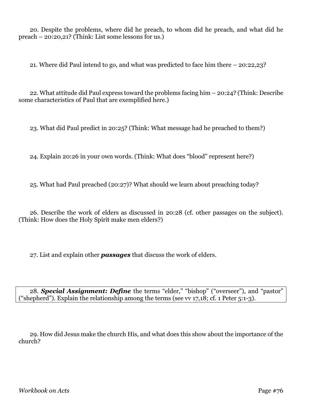20. Despite the problems, where did he preach, to whom did he preach, and what did he preach – 20:20,21? (Think: List some lessons for us.)

21. Where did Paul intend to go, and what was predicted to face him there – 20:22,23?

22. What attitude did Paul express toward the problems facing him – 20:24? (Think: Describe some characteristics of Paul that are exemplified here.)

23. What did Paul predict in 20:25? (Think: What message had he preached to them?)

24. Explain 20:26 in your own words. (Think: What does "blood" represent here?)

25. What had Paul preached (20:27)? What should we learn about preaching today?

26. Describe the work of elders as discussed in 20:28 (cf. other passages on the subject). (Think: How does the Holy Spirit make men elders?)

27. List and explain other *passages* that discuss the work of elders.

28. *Special Assignment: Define* the terms "elder," "bishop" ("overseer"), and "pastor" ("shepherd"). Explain the relationship among the terms (see vv 17,18; cf. 1 Peter 5:1-3).

29. How did Jesus make the church His, and what does this show about the importance of the church?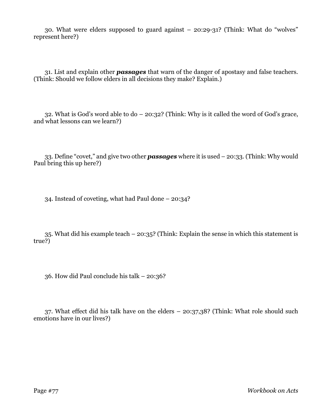30. What were elders supposed to guard against – 20:29-31? (Think: What do "wolves" represent here?)

31. List and explain other *passages* that warn of the danger of apostasy and false teachers. (Think: Should we follow elders in all decisions they make? Explain.)

32. What is God's word able to do – 20:32? (Think: Why is it called the word of God's grace, and what lessons can we learn?)

33. Define "covet," and give two other *passages* where it is used – 20:33. (Think: Why would Paul bring this up here?)

34. Instead of coveting, what had Paul done – 20:34?

35. What did his example teach – 20:35? (Think: Explain the sense in which this statement is true?)

36. How did Paul conclude his talk – 20:36?

37. What effect did his talk have on the elders – 20:37,38? (Think: What role should such emotions have in our lives?)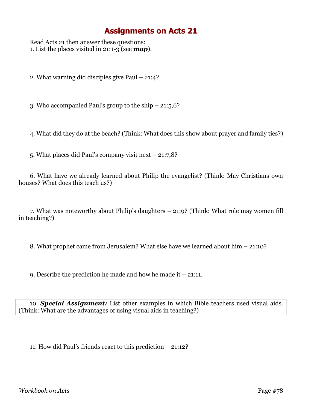Read Acts 21 then answer these questions: 1. List the places visited in 21:1-3 (see *map*).

2. What warning did disciples give Paul – 21:4?

3. Who accompanied Paul's group to the ship – 21:5,6?

4. What did they do at the beach? (Think: What does this show about prayer and family ties?)

5. What places did Paul's company visit next – 21:7,8?

6. What have we already learned about Philip the evangelist? (Think: May Christians own houses? What does this teach us?)

7. What was noteworthy about Philip's daughters – 21:9? (Think: What role may women fill in teaching?)

8. What prophet came from Jerusalem? What else have we learned about him – 21:10?

9. Describe the prediction he made and how he made it – 21:11.

10. *Special Assignment:* List other examples in which Bible teachers used visual aids. (Think: What are the advantages of using visual aids in teaching?)

11. How did Paul's friends react to this prediction – 21:12?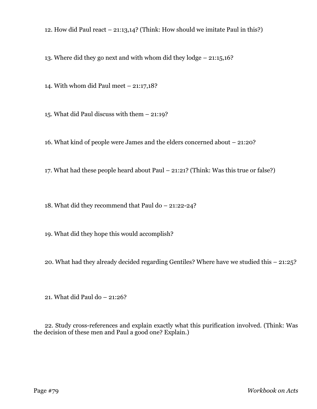12. How did Paul react – 21:13,14? (Think: How should we imitate Paul in this?)

13. Where did they go next and with whom did they lodge – 21:15,16?

14. With whom did Paul meet – 21:17,18?

15. What did Paul discuss with them – 21:19?

16. What kind of people were James and the elders concerned about – 21:20?

17. What had these people heard about Paul – 21:21? (Think: Was this true or false?)

18. What did they recommend that Paul do – 21:22-24?

19. What did they hope this would accomplish?

20. What had they already decided regarding Gentiles? Where have we studied this – 21:25?

21. What did Paul do – 21:26?

22. Study cross-references and explain exactly what this purification involved. (Think: Was the decision of these men and Paul a good one? Explain.)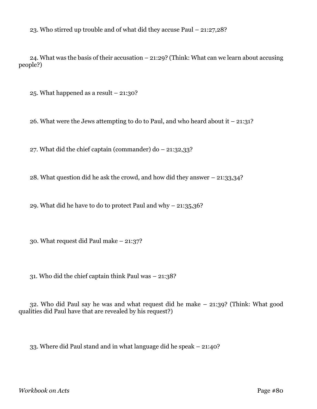23. Who stirred up trouble and of what did they accuse Paul – 21:27,28?

24. What was the basis of their accusation – 21:29? (Think: What can we learn about accusing people?)

25. What happened as a result – 21:30?

26. What were the Jews attempting to do to Paul, and who heard about it  $-21:31$ ?

27. What did the chief captain (commander) do  $-21:32,33$ ?

28. What question did he ask the crowd, and how did they answer – 21:33,34?

29. What did he have to do to protect Paul and why – 21:35,36?

30. What request did Paul make – 21:37?

31. Who did the chief captain think Paul was – 21:38?

32. Who did Paul say he was and what request did he make – 21:39? (Think: What good qualities did Paul have that are revealed by his request?)

33. Where did Paul stand and in what language did he speak – 21:40?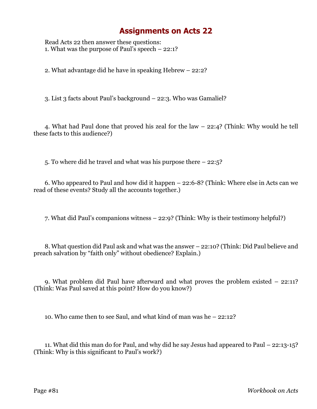Read Acts 22 then answer these questions: 1. What was the purpose of Paul's speech – 22:1?

2. What advantage did he have in speaking Hebrew – 22:2?

3. List 3 facts about Paul's background – 22:3. Who was Gamaliel?

4. What had Paul done that proved his zeal for the law – 22:4? (Think: Why would he tell these facts to this audience?)

5. To where did he travel and what was his purpose there – 22:5?

6. Who appeared to Paul and how did it happen – 22:6-8? (Think: Where else in Acts can we read of these events? Study all the accounts together.)

7. What did Paul's companions witness – 22:9? (Think: Why is their testimony helpful?)

8. What question did Paul ask and what was the answer – 22:10? (Think: Did Paul believe and preach salvation by "faith only" without obedience? Explain.)

9. What problem did Paul have afterward and what proves the problem existed – 22:11? (Think: Was Paul saved at this point? How do you know?)

10. Who came then to see Saul, and what kind of man was he – 22:12?

11. What did this man do for Paul, and why did he say Jesus had appeared to Paul – 22:13-15? (Think: Why is this significant to Paul's work?)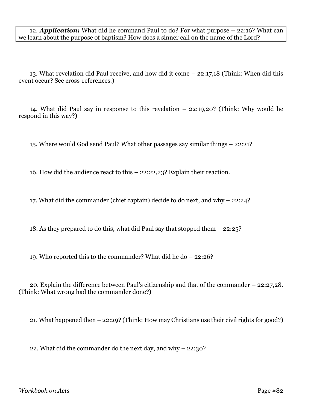12. *Application:* What did he command Paul to do? For what purpose – 22:16? What can we learn about the purpose of baptism? How does a sinner call on the name of the Lord?

13. What revelation did Paul receive, and how did it come – 22:17,18 (Think: When did this event occur? See cross-references.)

14. What did Paul say in response to this revelation – 22:19,20? (Think: Why would he respond in this way?)

15. Where would God send Paul? What other passages say similar things – 22:21?

16. How did the audience react to this – 22:22,23? Explain their reaction.

17. What did the commander (chief captain) decide to do next, and why – 22:24?

18. As they prepared to do this, what did Paul say that stopped them – 22:25?

19. Who reported this to the commander? What did he do – 22:26?

20. Explain the difference between Paul's citizenship and that of the commander – 22:27,28. (Think: What wrong had the commander done?)

21. What happened then – 22:29? (Think: How may Christians use their civil rights for good?)

22. What did the commander do the next day, and why – 22:30?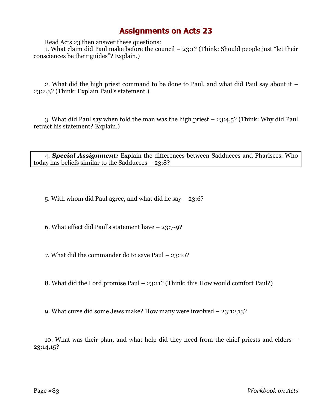Read Acts 23 then answer these questions:

1. What claim did Paul make before the council – 23:1? (Think: Should people just "let their consciences be their guides"? Explain.)

2. What did the high priest command to be done to Paul, and what did Paul say about it – 23:2,3? (Think: Explain Paul's statement.)

3. What did Paul say when told the man was the high priest – 23:4,5? (Think: Why did Paul retract his statement? Explain.)

4. *Special Assignment:* Explain the differences between Sadducees and Pharisees. Who today has beliefs similar to the Sadducees – 23:8?

5. With whom did Paul agree, and what did he say – 23:6?

6. What effect did Paul's statement have – 23:7-9?

7. What did the commander do to save Paul – 23:10?

8. What did the Lord promise Paul – 23:11? (Think: this How would comfort Paul?)

9. What curse did some Jews make? How many were involved – 23:12,13?

10. What was their plan, and what help did they need from the chief priests and elders – 23:14,15?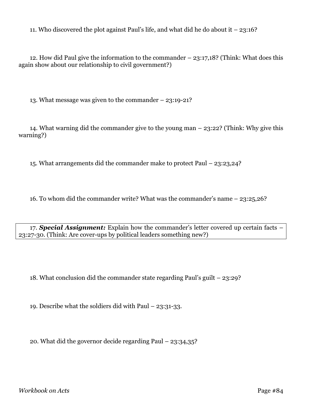11. Who discovered the plot against Paul's life, and what did he do about it – 23:16?

12. How did Paul give the information to the commander – 23:17,18? (Think: What does this again show about our relationship to civil government?)

13. What message was given to the commander – 23:19-21?

14. What warning did the commander give to the young man – 23:22? (Think: Why give this warning?)

15. What arrangements did the commander make to protect Paul – 23:23,24?

16. To whom did the commander write? What was the commander's name – 23:25,26?

17. *Special Assignment:* Explain how the commander's letter covered up certain facts – 23:27-30. (Think: Are cover-ups by political leaders something new?)

18. What conclusion did the commander state regarding Paul's guilt – 23:29?

19. Describe what the soldiers did with Paul – 23:31-33.

20. What did the governor decide regarding Paul – 23:34,35?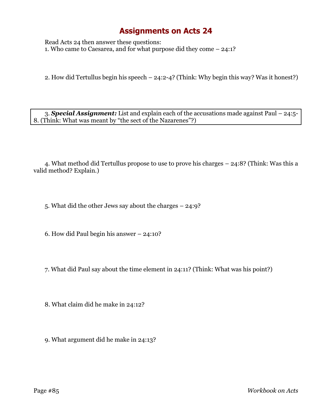Read Acts 24 then answer these questions: 1. Who came to Caesarea, and for what purpose did they come – 24:1?

2. How did Tertullus begin his speech – 24:2-4? (Think: Why begin this way? Was it honest?)

3. *Special Assignment:* List and explain each of the accusations made against Paul – 24:5- 8. (Think: What was meant by "the sect of the Nazarenes"?)

4. What method did Tertullus propose to use to prove his charges – 24:8? (Think: Was this a valid method? Explain.)

5. What did the other Jews say about the charges – 24:9?

6. How did Paul begin his answer – 24:10?

7. What did Paul say about the time element in 24:11? (Think: What was his point?)

8. What claim did he make in 24:12?

9. What argument did he make in 24:13?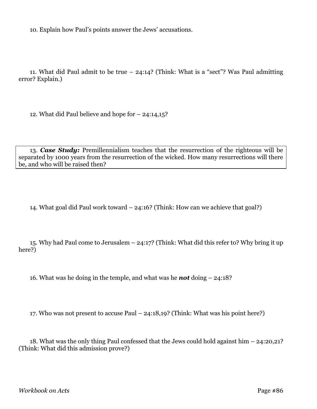10. Explain how Paul's points answer the Jews' accusations.

11. What did Paul admit to be true – 24:14? (Think: What is a "sect"? Was Paul admitting error? Explain.)

12. What did Paul believe and hope for – 24:14,15?

13. *Case Study:* Premillennialism teaches that the resurrection of the righteous will be separated by 1000 years from the resurrection of the wicked. How many resurrections will there be, and who will be raised then?

14. What goal did Paul work toward – 24:16? (Think: How can we achieve that goal?)

15. Why had Paul come to Jerusalem – 24:17? (Think: What did this refer to? Why bring it up here?)

16. What was he doing in the temple, and what was he *not* doing – 24:18?

17. Who was not present to accuse Paul – 24:18,19? (Think: What was his point here?)

18. What was the only thing Paul confessed that the Jews could hold against him – 24:20,21? (Think: What did this admission prove?)

*Workbook on Acts* Page #86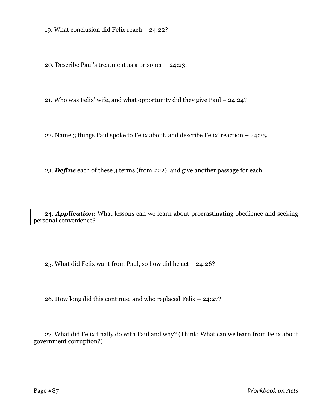19. What conclusion did Felix reach – 24:22?

20. Describe Paul's treatment as a prisoner – 24:23.

21. Who was Felix' wife, and what opportunity did they give Paul – 24:24?

22. Name 3 things Paul spoke to Felix about, and describe Felix' reaction – 24:25.

23. *Define* each of these 3 terms (from #22), and give another passage for each.

24. *Application:* What lessons can we learn about procrastinating obedience and seeking personal convenience?

25. What did Felix want from Paul, so how did he act – 24:26?

26. How long did this continue, and who replaced Felix – 24:27?

27. What did Felix finally do with Paul and why? (Think: What can we learn from Felix about government corruption?)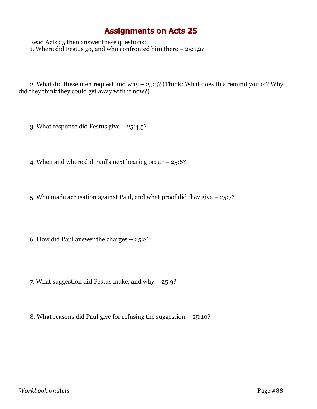Read Acts 25 then answer these questions: 1. Where did Festus go, and who confronted him there – 25:1,2?

2. What did these men request and why – 25:3? (Think: What does this remind you of? Why did they think they could get away with it now?)

3. What response did Festus give – 25:4,5?

4. When and where did Paul's next hearing occur – 25:6?

5. Who made accusation against Paul, and what proof did they give – 25:7?

6. How did Paul answer the charges – 25:8?

7. What suggestion did Festus make, and why – 25:9?

8. What reasons did Paul give for refusing the suggestion – 25:10?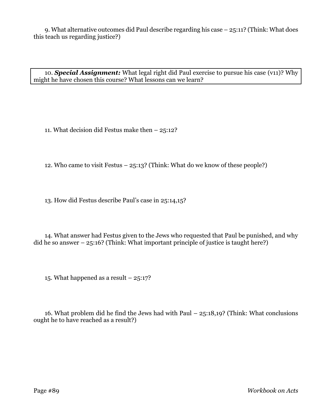9. What alternative outcomes did Paul describe regarding his case – 25:11? (Think: What does this teach us regarding justice?)

10. *Special Assignment:* What legal right did Paul exercise to pursue his case (v11)? Why might he have chosen this course? What lessons can we learn?

11. What decision did Festus make then – 25:12?

12. Who came to visit Festus – 25:13? (Think: What do we know of these people?)

13. How did Festus describe Paul's case in 25:14,15?

14. What answer had Festus given to the Jews who requested that Paul be punished, and why did he so answer  $-25:16$ ? (Think: What important principle of justice is taught here?)

15. What happened as a result  $-25:17$ ?

16. What problem did he find the Jews had with Paul – 25:18,19? (Think: What conclusions ought he to have reached as a result?)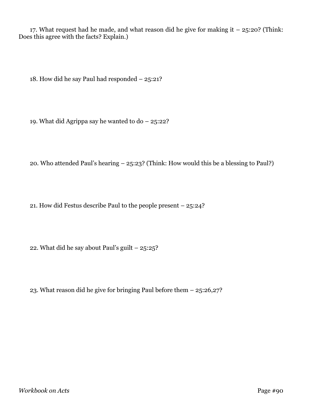17. What request had he made, and what reason did he give for making it  $-$  25:20? (Think: Does this agree with the facts? Explain.)

18. How did he say Paul had responded – 25:21?

19. What did Agrippa say he wanted to do – 25:22?

20. Who attended Paul's hearing – 25:23? (Think: How would this be a blessing to Paul?)

21. How did Festus describe Paul to the people present – 25:24?

22. What did he say about Paul's guilt – 25:25?

23. What reason did he give for bringing Paul before them – 25:26,27?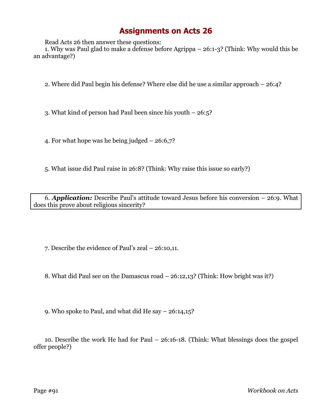Read Acts 26 then answer these questions:

1. Why was Paul glad to make a defense before Agrippa – 26:1-3? (Think: Why would this be an advantage?)

2. Where did Paul begin his defense? Where else did he use a similar approach – 26:4?

3. What kind of person had Paul been since his youth – 26:5?

4. For what hope was he being judged – 26:6,7?

5. What issue did Paul raise in 26:8? (Think: Why raise this issue so early?)

6. *Application:* Describe Paul's attitude toward Jesus before his conversion – 26:9. What does this prove about religious sincerity?

7. Describe the evidence of Paul's zeal – 26:10,11.

8. What did Paul see on the Damascus road – 26:12,13? (Think: How bright was it?)

9. Who spoke to Paul, and what did He say – 26:14,15?

10. Describe the work He had for Paul – 26:16-18. (Think: What blessings does the gospel offer people?)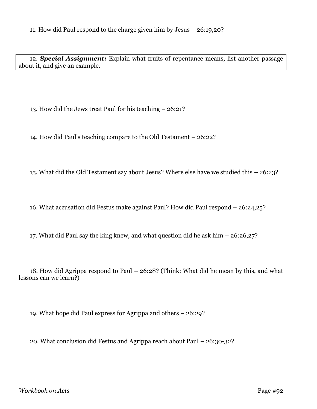12. *Special Assignment:* Explain what fruits of repentance means, list another passage about it, and give an example.

13. How did the Jews treat Paul for his teaching – 26:21?

14. How did Paul's teaching compare to the Old Testament – 26:22?

15. What did the Old Testament say about Jesus? Where else have we studied this – 26:23?

16. What accusation did Festus make against Paul? How did Paul respond – 26:24,25?

17. What did Paul say the king knew, and what question did he ask him – 26:26,27?

18. How did Agrippa respond to Paul – 26:28? (Think: What did he mean by this, and what lessons can we learn?)

19. What hope did Paul express for Agrippa and others – 26:29?

20. What conclusion did Festus and Agrippa reach about Paul – 26:30-32?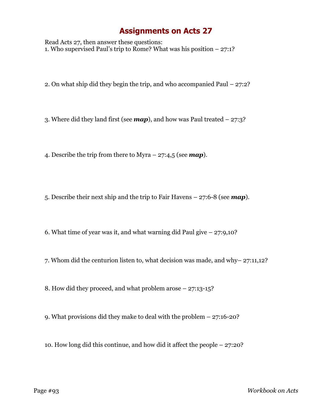Read Acts 27, then answer these questions: 1. Who supervised Paul's trip to Rome? What was his position – 27:1?

2. On what ship did they begin the trip, and who accompanied Paul – 27:2?

3. Where did they land first (see *map*), and how was Paul treated – 27:3?

4. Describe the trip from there to Myra – 27:4,5 (see *map*).

5. Describe their next ship and the trip to Fair Havens – 27:6-8 (see *map*).

6. What time of year was it, and what warning did Paul give  $-27:9,10$ ?

7. Whom did the centurion listen to, what decision was made, and why– 27:11,12?

8. How did they proceed, and what problem arose – 27:13-15?

- 9. What provisions did they make to deal with the problem 27:16-20?
- 10. How long did this continue, and how did it affect the people 27:20?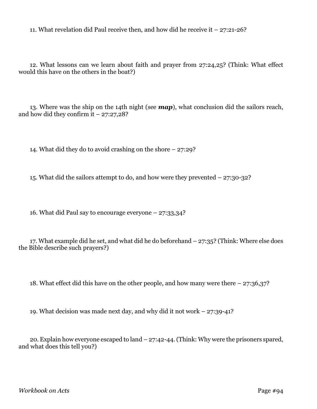11. What revelation did Paul receive then, and how did he receive it – 27:21-26?

12. What lessons can we learn about faith and prayer from 27:24,25? (Think: What effect would this have on the others in the boat?)

13. Where was the ship on the 14th night (see *map*), what conclusion did the sailors reach, and how did they confirm  $\overline{t}$  – 27:27,28?

14. What did they do to avoid crashing on the shore – 27:29?

15. What did the sailors attempt to do, and how were they prevented – 27:30-32?

16. What did Paul say to encourage everyone – 27:33,34?

17. What example did he set, and what did he do beforehand – 27:35? (Think: Where else does the Bible describe such prayers?)

18. What effect did this have on the other people, and how many were there – 27:36,37?

19. What decision was made next day, and why did it not work – 27:39-41?

20. Explain how everyone escaped to land – 27:42-44. (Think: Why were the prisoners spared, and what does this tell you?)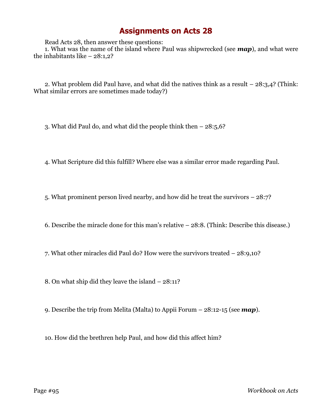Read Acts 28, then answer these questions:

1. What was the name of the island where Paul was shipwrecked (see *map*), and what were the inhabitants like  $-28:1,2$ ?

2. What problem did Paul have, and what did the natives think as a result – 28:3,4? (Think: What similar errors are sometimes made today?)

3. What did Paul do, and what did the people think then – 28:5,6?

4. What Scripture did this fulfill? Where else was a similar error made regarding Paul.

5. What prominent person lived nearby, and how did he treat the survivors – 28:7?

6. Describe the miracle done for this man's relative – 28:8. (Think: Describe this disease.)

7. What other miracles did Paul do? How were the survivors treated – 28:9,10?

8. On what ship did they leave the island – 28:11?

9. Describe the trip from Melita (Malta) to Appii Forum – 28:12-15 (see *map*).

10. How did the brethren help Paul, and how did this affect him?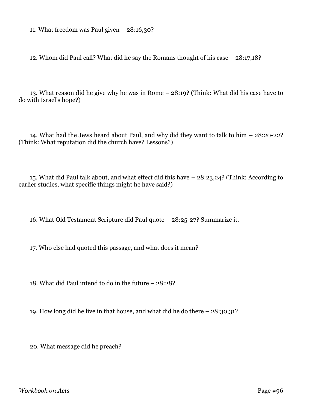11. What freedom was Paul given – 28:16,30?

12. Whom did Paul call? What did he say the Romans thought of his case – 28:17,18?

13. What reason did he give why he was in Rome – 28:19? (Think: What did his case have to do with Israel's hope?)

14. What had the Jews heard about Paul, and why did they want to talk to him – 28:20-22? (Think: What reputation did the church have? Lessons?)

15. What did Paul talk about, and what effect did this have – 28:23,24? (Think: According to earlier studies, what specific things might he have said?)

16. What Old Testament Scripture did Paul quote – 28:25-27? Summarize it.

17. Who else had quoted this passage, and what does it mean?

18. What did Paul intend to do in the future – 28:28?

19. How long did he live in that house, and what did he do there – 28:30,31?

20. What message did he preach?